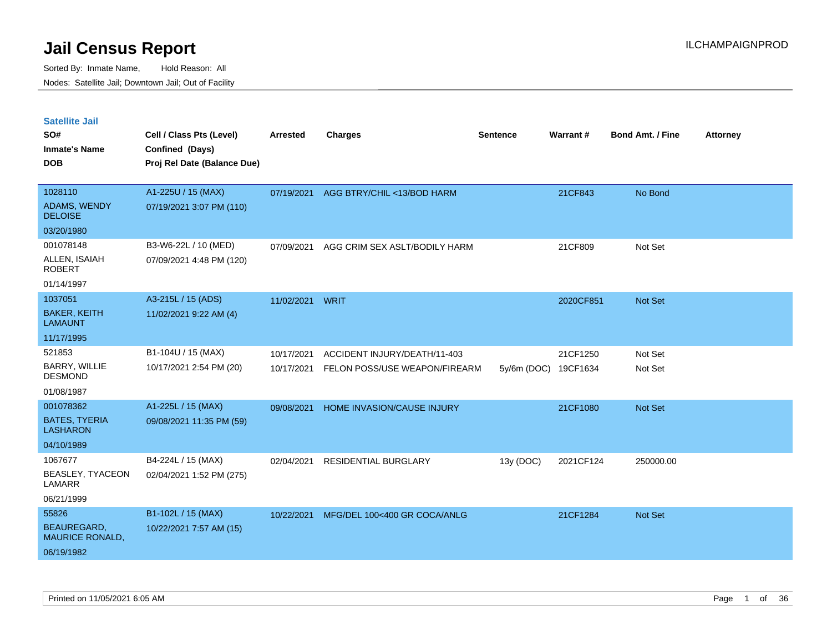| <b>Satellite Jail</b>                        |                             |                 |                               |             |           |                         |                 |
|----------------------------------------------|-----------------------------|-----------------|-------------------------------|-------------|-----------|-------------------------|-----------------|
| SO#                                          | Cell / Class Pts (Level)    | <b>Arrested</b> | <b>Charges</b>                | Sentence    | Warrant#  | <b>Bond Amt. / Fine</b> | <b>Attorney</b> |
| <b>Inmate's Name</b>                         | Confined (Days)             |                 |                               |             |           |                         |                 |
| <b>DOB</b>                                   | Proj Rel Date (Balance Due) |                 |                               |             |           |                         |                 |
|                                              |                             |                 |                               |             |           |                         |                 |
| 1028110                                      | A1-225U / 15 (MAX)          | 07/19/2021      | AGG BTRY/CHIL <13/BOD HARM    |             | 21CF843   | No Bond                 |                 |
| ADAMS, WENDY<br><b>DELOISE</b>               | 07/19/2021 3:07 PM (110)    |                 |                               |             |           |                         |                 |
| 03/20/1980                                   |                             |                 |                               |             |           |                         |                 |
| 001078148                                    | B3-W6-22L / 10 (MED)        | 07/09/2021      | AGG CRIM SEX ASLT/BODILY HARM |             | 21CF809   | Not Set                 |                 |
| ALLEN, ISAIAH<br><b>ROBERT</b>               | 07/09/2021 4:48 PM (120)    |                 |                               |             |           |                         |                 |
| 01/14/1997                                   |                             |                 |                               |             |           |                         |                 |
| 1037051                                      | A3-215L / 15 (ADS)          | 11/02/2021      | WRIT                          |             | 2020CF851 | <b>Not Set</b>          |                 |
| <b>BAKER, KEITH</b><br><b>LAMAUNT</b>        | 11/02/2021 9:22 AM (4)      |                 |                               |             |           |                         |                 |
| 11/17/1995                                   |                             |                 |                               |             |           |                         |                 |
| 521853                                       | B1-104U / 15 (MAX)          | 10/17/2021      | ACCIDENT INJURY/DEATH/11-403  |             | 21CF1250  | Not Set                 |                 |
| BARRY, WILLIE<br><b>DESMOND</b>              | 10/17/2021 2:54 PM (20)     | 10/17/2021      | FELON POSS/USE WEAPON/FIREARM | 5y/6m (DOC) | 19CF1634  | Not Set                 |                 |
| 01/08/1987                                   |                             |                 |                               |             |           |                         |                 |
| 001078362                                    | A1-225L / 15 (MAX)          | 09/08/2021      | HOME INVASION/CAUSE INJURY    |             | 21CF1080  | Not Set                 |                 |
| <b>BATES, TYERIA</b><br><b>LASHARON</b>      | 09/08/2021 11:35 PM (59)    |                 |                               |             |           |                         |                 |
| 04/10/1989                                   |                             |                 |                               |             |           |                         |                 |
| 1067677                                      | B4-224L / 15 (MAX)          | 02/04/2021      | <b>RESIDENTIAL BURGLARY</b>   | 13y (DOC)   | 2021CF124 | 250000.00               |                 |
| BEASLEY, TYACEON<br>LAMARR                   | 02/04/2021 1:52 PM (275)    |                 |                               |             |           |                         |                 |
| 06/21/1999                                   |                             |                 |                               |             |           |                         |                 |
| 55826                                        | B1-102L / 15 (MAX)          | 10/22/2021      | MFG/DEL 100<400 GR COCA/ANLG  |             | 21CF1284  | <b>Not Set</b>          |                 |
| <b>BEAUREGARD,</b><br><b>MAURICE RONALD,</b> | 10/22/2021 7:57 AM (15)     |                 |                               |             |           |                         |                 |
| 06/19/1982                                   |                             |                 |                               |             |           |                         |                 |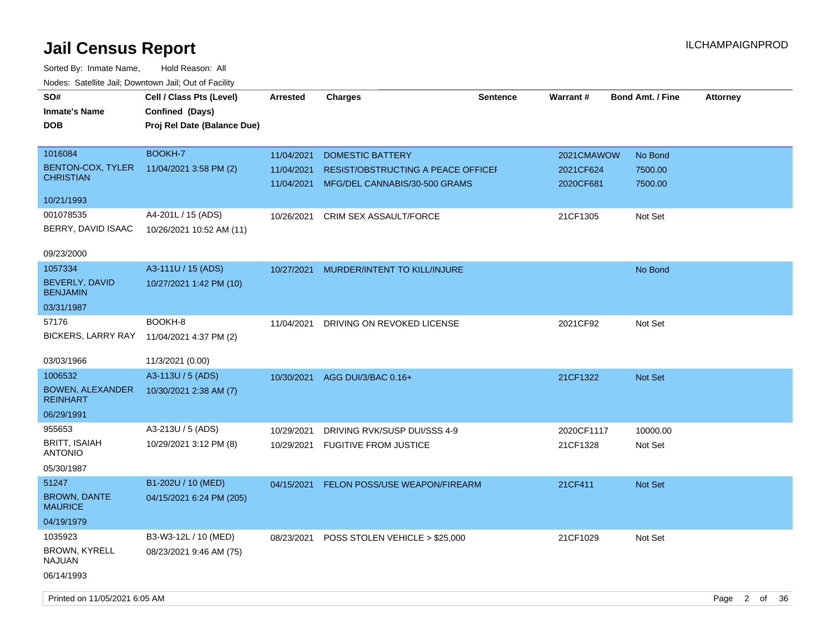| BOOKH-7<br>1016084<br>11/04/2021<br><b>DOMESTIC BATTERY</b><br>2021CMAWOW<br>No Bond<br>BENTON-COX, TYLER<br>11/04/2021 3:58 PM (2)<br>11/04/2021<br>RESIST/OBSTRUCTING A PEACE OFFICEI<br>2021CF624<br>7500.00<br><b>CHRISTIAN</b><br>11/04/2021<br>MFG/DEL CANNABIS/30-500 GRAMS<br>2020CF681<br>7500.00<br>10/21/1993<br>001078535<br>A4-201L / 15 (ADS)<br>CRIM SEX ASSAULT/FORCE<br>21CF1305<br>Not Set<br>10/26/2021<br>BERRY, DAVID ISAAC<br>10/26/2021 10:52 AM (11)<br>09/23/2000<br>1057334<br>A3-111U / 15 (ADS) |  |
|-----------------------------------------------------------------------------------------------------------------------------------------------------------------------------------------------------------------------------------------------------------------------------------------------------------------------------------------------------------------------------------------------------------------------------------------------------------------------------------------------------------------------------|--|
|                                                                                                                                                                                                                                                                                                                                                                                                                                                                                                                             |  |
|                                                                                                                                                                                                                                                                                                                                                                                                                                                                                                                             |  |
|                                                                                                                                                                                                                                                                                                                                                                                                                                                                                                                             |  |
|                                                                                                                                                                                                                                                                                                                                                                                                                                                                                                                             |  |
|                                                                                                                                                                                                                                                                                                                                                                                                                                                                                                                             |  |
|                                                                                                                                                                                                                                                                                                                                                                                                                                                                                                                             |  |
| 10/27/2021 MURDER/INTENT TO KILL/INJURE<br>No Bond                                                                                                                                                                                                                                                                                                                                                                                                                                                                          |  |
| BEVERLY, DAVID<br>10/27/2021 1:42 PM (10)<br><b>BENJAMIN</b>                                                                                                                                                                                                                                                                                                                                                                                                                                                                |  |
| 03/31/1987                                                                                                                                                                                                                                                                                                                                                                                                                                                                                                                  |  |
| BOOKH-8<br>57176<br>DRIVING ON REVOKED LICENSE<br>2021CF92<br>Not Set<br>11/04/2021<br><b>BICKERS, LARRY RAY</b><br>11/04/2021 4:37 PM (2)                                                                                                                                                                                                                                                                                                                                                                                  |  |
| 03/03/1966<br>11/3/2021 (0.00)                                                                                                                                                                                                                                                                                                                                                                                                                                                                                              |  |
| 1006532<br>A3-113U / 5 (ADS)<br>21CF1322<br>AGG DUI/3/BAC 0.16+<br><b>Not Set</b><br>10/30/2021                                                                                                                                                                                                                                                                                                                                                                                                                             |  |
| <b>BOWEN, ALEXANDER</b><br>10/30/2021 2:38 AM (7)<br><b>REINHART</b>                                                                                                                                                                                                                                                                                                                                                                                                                                                        |  |
| 06/29/1991                                                                                                                                                                                                                                                                                                                                                                                                                                                                                                                  |  |
| 955653<br>A3-213U / 5 (ADS)<br>DRIVING RVK/SUSP DUI/SSS 4-9<br>2020CF1117<br>10000.00<br>10/29/2021                                                                                                                                                                                                                                                                                                                                                                                                                         |  |
| <b>BRITT, ISAIAH</b><br>10/29/2021 3:12 PM (8)<br>21CF1328<br>Not Set<br>10/29/2021<br><b>FUGITIVE FROM JUSTICE</b><br><b>ANTONIO</b>                                                                                                                                                                                                                                                                                                                                                                                       |  |
| 05/30/1987                                                                                                                                                                                                                                                                                                                                                                                                                                                                                                                  |  |
| 51247<br>B1-202U / 10 (MED)<br>FELON POSS/USE WEAPON/FIREARM<br>21CF411<br>Not Set<br>04/15/2021                                                                                                                                                                                                                                                                                                                                                                                                                            |  |
| <b>BROWN, DANTE</b><br>04/15/2021 6:24 PM (205)<br><b>MAURICE</b>                                                                                                                                                                                                                                                                                                                                                                                                                                                           |  |
| 04/19/1979                                                                                                                                                                                                                                                                                                                                                                                                                                                                                                                  |  |
| 1035923<br>B3-W3-12L / 10 (MED)<br>POSS STOLEN VEHICLE > \$25,000<br>21CF1029<br>Not Set<br>08/23/2021                                                                                                                                                                                                                                                                                                                                                                                                                      |  |
| <b>BROWN, KYRELL</b><br>08/23/2021 9:46 AM (75)<br><b>NAJUAN</b>                                                                                                                                                                                                                                                                                                                                                                                                                                                            |  |
| 06/14/1993                                                                                                                                                                                                                                                                                                                                                                                                                                                                                                                  |  |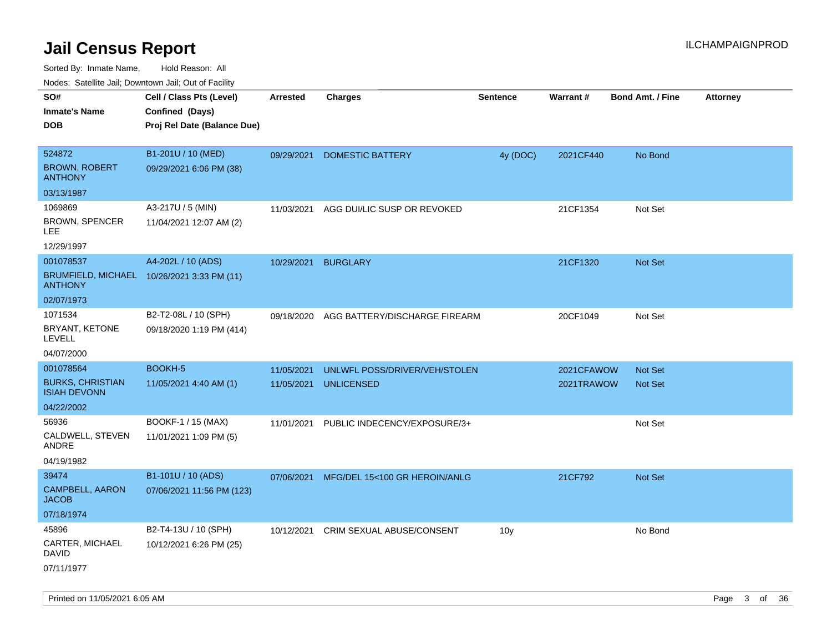| Nodes: Satellite Jali, Downtown Jali, Out of Facility |                                            |                 |                               |                 |            |                         |                 |
|-------------------------------------------------------|--------------------------------------------|-----------------|-------------------------------|-----------------|------------|-------------------------|-----------------|
| SO#                                                   | Cell / Class Pts (Level)                   | <b>Arrested</b> | <b>Charges</b>                | <b>Sentence</b> | Warrant#   | <b>Bond Amt. / Fine</b> | <b>Attorney</b> |
| <b>Inmate's Name</b>                                  | Confined (Days)                            |                 |                               |                 |            |                         |                 |
| <b>DOB</b>                                            | Proj Rel Date (Balance Due)                |                 |                               |                 |            |                         |                 |
|                                                       |                                            |                 |                               |                 |            |                         |                 |
| 524872                                                | B1-201U / 10 (MED)                         | 09/29/2021      | <b>DOMESTIC BATTERY</b>       | 4y (DOC)        | 2021CF440  | No Bond                 |                 |
| <b>BROWN, ROBERT</b><br><b>ANTHONY</b>                | 09/29/2021 6:06 PM (38)                    |                 |                               |                 |            |                         |                 |
| 03/13/1987                                            |                                            |                 |                               |                 |            |                         |                 |
| 1069869                                               | A3-217U / 5 (MIN)                          | 11/03/2021      | AGG DUI/LIC SUSP OR REVOKED   |                 | 21CF1354   | Not Set                 |                 |
| BROWN, SPENCER<br>LEE                                 | 11/04/2021 12:07 AM (2)                    |                 |                               |                 |            |                         |                 |
| 12/29/1997                                            |                                            |                 |                               |                 |            |                         |                 |
| 001078537                                             | A4-202L / 10 (ADS)                         | 10/29/2021      | <b>BURGLARY</b>               |                 | 21CF1320   | <b>Not Set</b>          |                 |
| <b>ANTHONY</b>                                        | BRUMFIELD, MICHAEL 10/26/2021 3:33 PM (11) |                 |                               |                 |            |                         |                 |
| 02/07/1973                                            |                                            |                 |                               |                 |            |                         |                 |
| 1071534                                               | B2-T2-08L / 10 (SPH)                       | 09/18/2020      | AGG BATTERY/DISCHARGE FIREARM |                 | 20CF1049   | Not Set                 |                 |
| BRYANT, KETONE<br><b>LEVELL</b>                       | 09/18/2020 1:19 PM (414)                   |                 |                               |                 |            |                         |                 |
| 04/07/2000                                            |                                            |                 |                               |                 |            |                         |                 |
| 001078564                                             | <b>BOOKH-5</b>                             | 11/05/2021      | UNLWFL POSS/DRIVER/VEH/STOLEN |                 | 2021CFAWOW | <b>Not Set</b>          |                 |
| <b>BURKS, CHRISTIAN</b><br><b>ISIAH DEVONN</b>        | 11/05/2021 4:40 AM (1)                     | 11/05/2021      | <b>UNLICENSED</b>             |                 | 2021TRAWOW | <b>Not Set</b>          |                 |
| 04/22/2002                                            |                                            |                 |                               |                 |            |                         |                 |
| 56936                                                 | BOOKF-1 / 15 (MAX)                         | 11/01/2021      | PUBLIC INDECENCY/EXPOSURE/3+  |                 |            | Not Set                 |                 |
| CALDWELL, STEVEN<br>ANDRE                             | 11/01/2021 1:09 PM (5)                     |                 |                               |                 |            |                         |                 |
| 04/19/1982                                            |                                            |                 |                               |                 |            |                         |                 |
| 39474                                                 | B1-101U / 10 (ADS)                         | 07/06/2021      | MFG/DEL 15<100 GR HEROIN/ANLG |                 | 21CF792    | Not Set                 |                 |
| CAMPBELL, AARON<br><b>JACOB</b>                       | 07/06/2021 11:56 PM (123)                  |                 |                               |                 |            |                         |                 |
| 07/18/1974                                            |                                            |                 |                               |                 |            |                         |                 |
| 45896                                                 | B2-T4-13U / 10 (SPH)                       | 10/12/2021      | CRIM SEXUAL ABUSE/CONSENT     | 10 <sub>y</sub> |            | No Bond                 |                 |
| CARTER, MICHAEL<br>David                              | 10/12/2021 6:26 PM (25)                    |                 |                               |                 |            |                         |                 |
| 07/11/1977                                            |                                            |                 |                               |                 |            |                         |                 |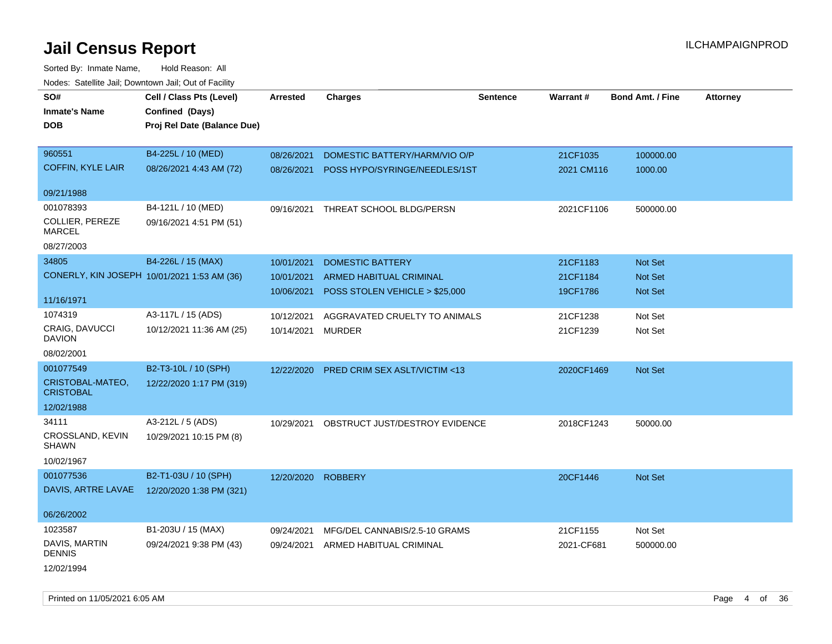| SO#<br><b>Inmate's Name</b><br><b>DOB</b>                             | Cell / Class Pts (Level)<br>Confined (Days)<br>Proj Rel Date (Balance Due) | <b>Arrested</b>          | <b>Charges</b>                                                   | <b>Sentence</b> | Warrant#               | <b>Bond Amt. / Fine</b>   | <b>Attorney</b> |
|-----------------------------------------------------------------------|----------------------------------------------------------------------------|--------------------------|------------------------------------------------------------------|-----------------|------------------------|---------------------------|-----------------|
| 960551<br><b>COFFIN, KYLE LAIR</b>                                    | B4-225L / 10 (MED)<br>08/26/2021 4:43 AM (72)                              | 08/26/2021<br>08/26/2021 | DOMESTIC BATTERY/HARM/VIO O/P<br>POSS HYPO/SYRINGE/NEEDLES/1ST   |                 | 21CF1035<br>2021 CM116 | 100000.00<br>1000.00      |                 |
| 09/21/1988                                                            |                                                                            |                          |                                                                  |                 |                        |                           |                 |
| 001078393<br>COLLIER, PEREZE<br><b>MARCEL</b><br>08/27/2003           | B4-121L / 10 (MED)<br>09/16/2021 4:51 PM (51)                              | 09/16/2021               | THREAT SCHOOL BLDG/PERSN                                         |                 | 2021CF1106             | 500000.00                 |                 |
| 34805                                                                 | B4-226L / 15 (MAX)                                                         | 10/01/2021               | <b>DOMESTIC BATTERY</b>                                          |                 | 21CF1183               | Not Set                   |                 |
| CONERLY, KIN JOSEPH 10/01/2021 1:53 AM (36)<br>11/16/1971             |                                                                            | 10/01/2021<br>10/06/2021 | <b>ARMED HABITUAL CRIMINAL</b><br>POSS STOLEN VEHICLE > \$25,000 |                 | 21CF1184<br>19CF1786   | Not Set<br><b>Not Set</b> |                 |
| 1074319<br>CRAIG, DAVUCCI<br><b>DAVION</b><br>08/02/2001              | A3-117L / 15 (ADS)<br>10/12/2021 11:36 AM (25)                             | 10/12/2021<br>10/14/2021 | AGGRAVATED CRUELTY TO ANIMALS<br><b>MURDER</b>                   |                 | 21CF1238<br>21CF1239   | Not Set<br>Not Set        |                 |
| 001077549<br>CRISTOBAL-MATEO,<br><b>CRISTOBAL</b>                     | B2-T3-10L / 10 (SPH)<br>12/22/2020 1:17 PM (319)                           | 12/22/2020               | <b>PRED CRIM SEX ASLT/VICTIM &lt;13</b>                          |                 | 2020CF1469             | Not Set                   |                 |
| 12/02/1988<br>34111<br>CROSSLAND, KEVIN<br><b>SHAWN</b><br>10/02/1967 | A3-212L / 5 (ADS)<br>10/29/2021 10:15 PM (8)                               | 10/29/2021               | OBSTRUCT JUST/DESTROY EVIDENCE                                   |                 | 2018CF1243             | 50000.00                  |                 |
| 001077536<br>DAVIS, ARTRE LAVAE<br>06/26/2002                         | B2-T1-03U / 10 (SPH)<br>12/20/2020 1:38 PM (321)                           | 12/20/2020               | <b>ROBBERY</b>                                                   |                 | 20CF1446               | Not Set                   |                 |
| 1023587<br>DAVIS, MARTIN<br><b>DENNIS</b><br>12/02/1994               | B1-203U / 15 (MAX)<br>09/24/2021 9:38 PM (43)                              | 09/24/2021<br>09/24/2021 | MFG/DEL CANNABIS/2.5-10 GRAMS<br>ARMED HABITUAL CRIMINAL         |                 | 21CF1155<br>2021-CF681 | Not Set<br>500000.00      |                 |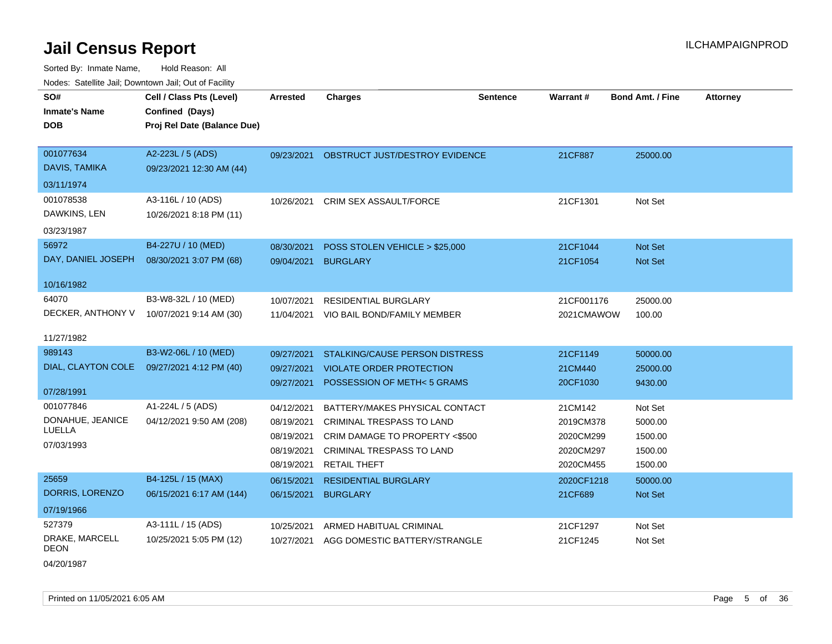Sorted By: Inmate Name, Hold Reason: All Nodes: Satellite Jail; Downtown Jail; Out of Facility

| roaco. Calcinio dan, Domntonn dan, Out or Fability |                             |                     |                                           |                 |            |                         |                 |
|----------------------------------------------------|-----------------------------|---------------------|-------------------------------------------|-----------------|------------|-------------------------|-----------------|
| SO#                                                | Cell / Class Pts (Level)    | <b>Arrested</b>     | <b>Charges</b>                            | <b>Sentence</b> | Warrant#   | <b>Bond Amt. / Fine</b> | <b>Attorney</b> |
| <b>Inmate's Name</b>                               | Confined (Days)             |                     |                                           |                 |            |                         |                 |
| <b>DOB</b>                                         | Proj Rel Date (Balance Due) |                     |                                           |                 |            |                         |                 |
|                                                    |                             |                     |                                           |                 |            |                         |                 |
| 001077634                                          | A2-223L / 5 (ADS)           |                     | 09/23/2021 OBSTRUCT JUST/DESTROY EVIDENCE |                 | 21CF887    | 25000.00                |                 |
| DAVIS, TAMIKA                                      | 09/23/2021 12:30 AM (44)    |                     |                                           |                 |            |                         |                 |
| 03/11/1974                                         |                             |                     |                                           |                 |            |                         |                 |
| 001078538                                          | A3-116L / 10 (ADS)          |                     | 10/26/2021 CRIM SEX ASSAULT/FORCE         |                 | 21CF1301   | Not Set                 |                 |
| DAWKINS, LEN                                       | 10/26/2021 8:18 PM (11)     |                     |                                           |                 |            |                         |                 |
| 03/23/1987                                         |                             |                     |                                           |                 |            |                         |                 |
| 56972                                              | B4-227U / 10 (MED)          | 08/30/2021          | POSS STOLEN VEHICLE > \$25,000            |                 | 21CF1044   | Not Set                 |                 |
| DAY, DANIEL JOSEPH                                 | 08/30/2021 3:07 PM (68)     | 09/04/2021 BURGLARY |                                           |                 | 21CF1054   | Not Set                 |                 |
|                                                    |                             |                     |                                           |                 |            |                         |                 |
| 10/16/1982                                         |                             |                     |                                           |                 |            |                         |                 |
| 64070                                              | B3-W8-32L / 10 (MED)        | 10/07/2021          | <b>RESIDENTIAL BURGLARY</b>               |                 | 21CF001176 | 25000.00                |                 |
| DECKER, ANTHONY V                                  | 10/07/2021 9:14 AM (30)     |                     | 11/04/2021 VIO BAIL BOND/FAMILY MEMBER    |                 | 2021CMAWOW | 100.00                  |                 |
|                                                    |                             |                     |                                           |                 |            |                         |                 |
| 11/27/1982                                         |                             |                     |                                           |                 |            |                         |                 |
| 989143                                             | B3-W2-06L / 10 (MED)        | 09/27/2021          | STALKING/CAUSE PERSON DISTRESS            |                 | 21CF1149   | 50000.00                |                 |
| DIAL, CLAYTON COLE                                 | 09/27/2021 4:12 PM (40)     | 09/27/2021          | <b>VIOLATE ORDER PROTECTION</b>           |                 | 21CM440    | 25000.00                |                 |
| 07/28/1991                                         |                             | 09/27/2021          | POSSESSION OF METH<5 GRAMS                |                 | 20CF1030   | 9430.00                 |                 |
| 001077846                                          | A1-224L / 5 (ADS)           |                     |                                           |                 |            |                         |                 |
| DONAHUE, JEANICE                                   |                             | 04/12/2021          | BATTERY/MAKES PHYSICAL CONTACT            |                 | 21CM142    | Not Set                 |                 |
| LUELLA                                             | 04/12/2021 9:50 AM (208)    | 08/19/2021          | CRIMINAL TRESPASS TO LAND                 |                 | 2019CM378  | 5000.00                 |                 |
| 07/03/1993                                         |                             | 08/19/2021          | CRIM DAMAGE TO PROPERTY <\$500            |                 | 2020CM299  | 1500.00                 |                 |
|                                                    |                             | 08/19/2021          | <b>CRIMINAL TRESPASS TO LAND</b>          |                 | 2020CM297  | 1500.00                 |                 |
|                                                    |                             | 08/19/2021          | RETAIL THEFT                              |                 | 2020CM455  | 1500.00                 |                 |
| 25659                                              | B4-125L / 15 (MAX)          | 06/15/2021          | <b>RESIDENTIAL BURGLARY</b>               |                 | 2020CF1218 | 50000.00                |                 |
| DORRIS, LORENZO                                    | 06/15/2021 6:17 AM (144)    | 06/15/2021          | <b>BURGLARY</b>                           |                 | 21CF689    | Not Set                 |                 |
| 07/19/1966                                         |                             |                     |                                           |                 |            |                         |                 |
| 527379                                             | A3-111L / 15 (ADS)          | 10/25/2021          | ARMED HABITUAL CRIMINAL                   |                 | 21CF1297   | Not Set                 |                 |
| DRAKE, MARCELL                                     | 10/25/2021 5:05 PM (12)     | 10/27/2021          | AGG DOMESTIC BATTERY/STRANGLE             |                 | 21CF1245   | Not Set                 |                 |
| DEON                                               |                             |                     |                                           |                 |            |                         |                 |

04/20/1987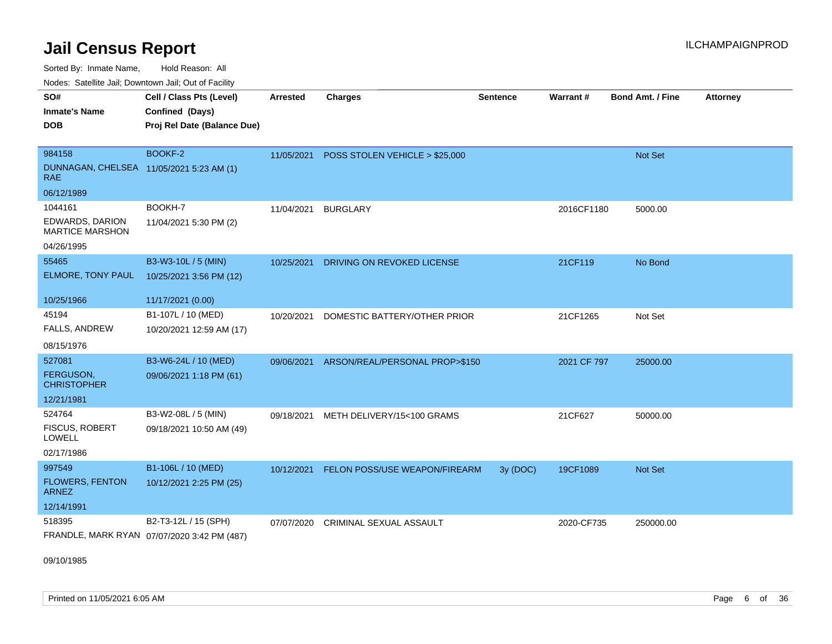Sorted By: Inmate Name, Hold Reason: All

Nodes: Satellite Jail; Downtown Jail; Out of Facility

| SO#<br><b>Inmate's Name</b><br><b>DOB</b>       | Cell / Class Pts (Level)<br>Confined (Days)<br>Proj Rel Date (Balance Due) | <b>Arrested</b> | <b>Charges</b>                 | <b>Sentence</b> | Warrant#    | Bond Amt. / Fine | <b>Attorney</b> |
|-------------------------------------------------|----------------------------------------------------------------------------|-----------------|--------------------------------|-----------------|-------------|------------------|-----------------|
| 984158                                          | BOOKF-2                                                                    | 11/05/2021      | POSS STOLEN VEHICLE > \$25,000 |                 |             | Not Set          |                 |
| DUNNAGAN, CHELSEA 11/05/2021 5:23 AM (1)<br>RAE |                                                                            |                 |                                |                 |             |                  |                 |
| 06/12/1989                                      |                                                                            |                 |                                |                 |             |                  |                 |
| 1044161                                         | BOOKH-7                                                                    | 11/04/2021      | <b>BURGLARY</b>                |                 | 2016CF1180  | 5000.00          |                 |
| EDWARDS, DARION<br><b>MARTICE MARSHON</b>       | 11/04/2021 5:30 PM (2)                                                     |                 |                                |                 |             |                  |                 |
| 04/26/1995                                      |                                                                            |                 |                                |                 |             |                  |                 |
| 55465                                           | B3-W3-10L / 5 (MIN)                                                        | 10/25/2021      | DRIVING ON REVOKED LICENSE     |                 | 21CF119     | No Bond          |                 |
| ELMORE, TONY PAUL                               | 10/25/2021 3:56 PM (12)                                                    |                 |                                |                 |             |                  |                 |
| 10/25/1966                                      | 11/17/2021 (0.00)                                                          |                 |                                |                 |             |                  |                 |
| 45194                                           | B1-107L / 10 (MED)                                                         | 10/20/2021      | DOMESTIC BATTERY/OTHER PRIOR   |                 | 21CF1265    | Not Set          |                 |
| <b>FALLS, ANDREW</b>                            | 10/20/2021 12:59 AM (17)                                                   |                 |                                |                 |             |                  |                 |
| 08/15/1976                                      |                                                                            |                 |                                |                 |             |                  |                 |
| 527081                                          | B3-W6-24L / 10 (MED)                                                       | 09/06/2021      | ARSON/REAL/PERSONAL PROP>\$150 |                 | 2021 CF 797 | 25000.00         |                 |
| <b>FERGUSON.</b><br><b>CHRISTOPHER</b>          | 09/06/2021 1:18 PM (61)                                                    |                 |                                |                 |             |                  |                 |
| 12/21/1981                                      |                                                                            |                 |                                |                 |             |                  |                 |
| 524764                                          | B3-W2-08L / 5 (MIN)                                                        | 09/18/2021      | METH DELIVERY/15<100 GRAMS     |                 | 21CF627     | 50000.00         |                 |
| <b>FISCUS, ROBERT</b><br><b>LOWELL</b>          | 09/18/2021 10:50 AM (49)                                                   |                 |                                |                 |             |                  |                 |
| 02/17/1986                                      |                                                                            |                 |                                |                 |             |                  |                 |
| 997549                                          | B1-106L / 10 (MED)                                                         | 10/12/2021      | FELON POSS/USE WEAPON/FIREARM  | 3y (DOC)        | 19CF1089    | Not Set          |                 |
| <b>FLOWERS, FENTON</b><br><b>ARNEZ</b>          | 10/12/2021 2:25 PM (25)                                                    |                 |                                |                 |             |                  |                 |
| 12/14/1991                                      |                                                                            |                 |                                |                 |             |                  |                 |
| 518395                                          | B2-T3-12L / 15 (SPH)                                                       | 07/07/2020      | CRIMINAL SEXUAL ASSAULT        |                 | 2020-CF735  | 250000.00        |                 |
|                                                 | FRANDLE, MARK RYAN 07/07/2020 3:42 PM (487)                                |                 |                                |                 |             |                  |                 |

09/10/1985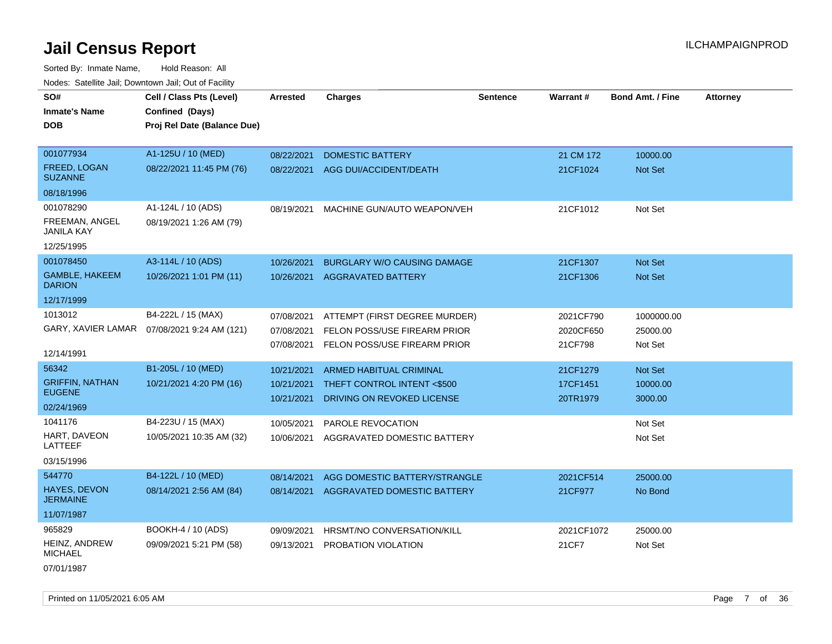Sorted By: Inmate Name, Hold Reason: All Nodes: Satellite Jail; Downtown Jail; Out of Facility

| SO#                                     | Cell / Class Pts (Level)                     | <b>Arrested</b> | <b>Charges</b>                     | <b>Sentence</b> | <b>Warrant#</b> | <b>Bond Amt. / Fine</b> | <b>Attorney</b> |
|-----------------------------------------|----------------------------------------------|-----------------|------------------------------------|-----------------|-----------------|-------------------------|-----------------|
| <b>Inmate's Name</b>                    | Confined (Days)                              |                 |                                    |                 |                 |                         |                 |
| DOB                                     | Proj Rel Date (Balance Due)                  |                 |                                    |                 |                 |                         |                 |
|                                         |                                              |                 |                                    |                 |                 |                         |                 |
| 001077934                               | A1-125U / 10 (MED)                           | 08/22/2021      | <b>DOMESTIC BATTERY</b>            |                 | 21 CM 172       | 10000.00                |                 |
| <b>FREED, LOGAN</b><br><b>SUZANNE</b>   | 08/22/2021 11:45 PM (76)                     | 08/22/2021      | AGG DUI/ACCIDENT/DEATH             |                 | 21CF1024        | <b>Not Set</b>          |                 |
| 08/18/1996                              |                                              |                 |                                    |                 |                 |                         |                 |
| 001078290                               | A1-124L / 10 (ADS)                           | 08/19/2021      | MACHINE GUN/AUTO WEAPON/VEH        |                 | 21CF1012        | Not Set                 |                 |
| FREEMAN, ANGEL<br><b>JANILA KAY</b>     | 08/19/2021 1:26 AM (79)                      |                 |                                    |                 |                 |                         |                 |
| 12/25/1995                              |                                              |                 |                                    |                 |                 |                         |                 |
| 001078450                               | A3-114L / 10 (ADS)                           | 10/26/2021      | <b>BURGLARY W/O CAUSING DAMAGE</b> |                 | 21CF1307        | Not Set                 |                 |
| <b>GAMBLE, HAKEEM</b><br><b>DARION</b>  | 10/26/2021 1:01 PM (11)                      | 10/26/2021      | <b>AGGRAVATED BATTERY</b>          |                 | 21CF1306        | <b>Not Set</b>          |                 |
| 12/17/1999                              |                                              |                 |                                    |                 |                 |                         |                 |
| 1013012                                 | B4-222L / 15 (MAX)                           | 07/08/2021      | ATTEMPT (FIRST DEGREE MURDER)      |                 | 2021CF790       | 1000000.00              |                 |
|                                         | GARY, XAVIER LAMAR  07/08/2021 9:24 AM (121) | 07/08/2021      | FELON POSS/USE FIREARM PRIOR       |                 | 2020CF650       | 25000.00                |                 |
|                                         |                                              | 07/08/2021      | FELON POSS/USE FIREARM PRIOR       |                 | 21CF798         | Not Set                 |                 |
| 12/14/1991                              |                                              |                 |                                    |                 |                 |                         |                 |
| 56342                                   | B1-205L / 10 (MED)                           | 10/21/2021      | <b>ARMED HABITUAL CRIMINAL</b>     |                 | 21CF1279        | <b>Not Set</b>          |                 |
| <b>GRIFFIN, NATHAN</b><br><b>EUGENE</b> | 10/21/2021 4:20 PM (16)                      | 10/21/2021      | THEFT CONTROL INTENT <\$500        |                 | 17CF1451        | 10000.00                |                 |
| 02/24/1969                              |                                              | 10/21/2021      | DRIVING ON REVOKED LICENSE         |                 | 20TR1979        | 3000.00                 |                 |
|                                         |                                              |                 |                                    |                 |                 |                         |                 |
| 1041176                                 | B4-223U / 15 (MAX)                           | 10/05/2021      | PAROLE REVOCATION                  |                 |                 | Not Set                 |                 |
| HART, DAVEON<br>LATTEEF                 | 10/05/2021 10:35 AM (32)                     | 10/06/2021      | AGGRAVATED DOMESTIC BATTERY        |                 |                 | Not Set                 |                 |
| 03/15/1996                              |                                              |                 |                                    |                 |                 |                         |                 |
| 544770                                  | B4-122L / 10 (MED)                           | 08/14/2021      | AGG DOMESTIC BATTERY/STRANGLE      |                 | 2021CF514       | 25000.00                |                 |
| <b>HAYES, DEVON</b><br><b>JERMAINE</b>  | 08/14/2021 2:56 AM (84)                      | 08/14/2021      | AGGRAVATED DOMESTIC BATTERY        |                 | 21CF977         | No Bond                 |                 |
| 11/07/1987                              |                                              |                 |                                    |                 |                 |                         |                 |
| 965829                                  | <b>BOOKH-4 / 10 (ADS)</b>                    | 09/09/2021      | HRSMT/NO CONVERSATION/KILL         |                 | 2021CF1072      | 25000.00                |                 |
| <b>HEINZ, ANDREW</b><br>MICHAEL         | 09/09/2021 5:21 PM (58)                      | 09/13/2021      | PROBATION VIOLATION                |                 | 21CF7           | Not Set                 |                 |

07/01/1987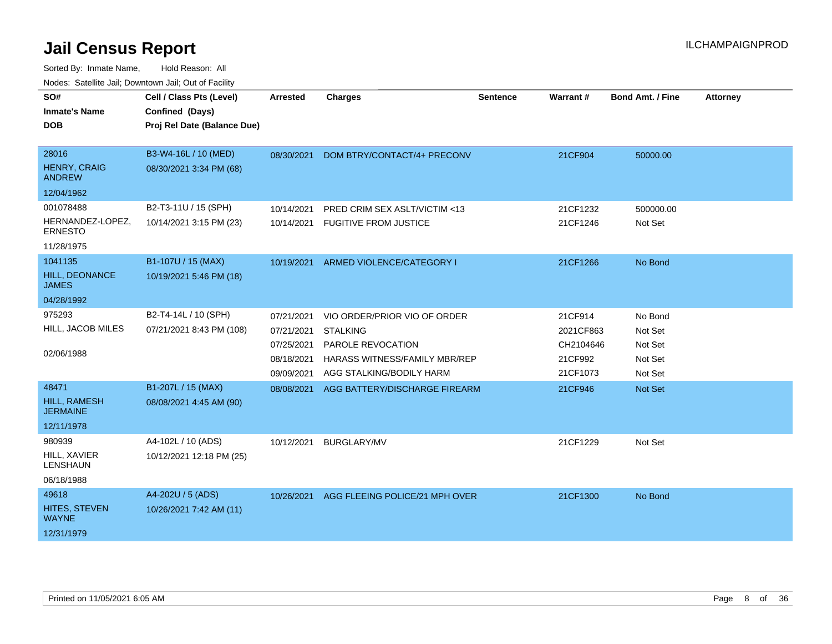| SO#<br><b>Inmate's Name</b><br><b>DOB</b>                     | Cell / Class Pts (Level)<br>Confined (Days)<br>Proj Rel Date (Balance Due) | <b>Arrested</b>                                                    | <b>Charges</b>                                                                                                                    | <b>Sentence</b> | Warrant#                                                 | <b>Bond Amt. / Fine</b>                             | <b>Attorney</b> |
|---------------------------------------------------------------|----------------------------------------------------------------------------|--------------------------------------------------------------------|-----------------------------------------------------------------------------------------------------------------------------------|-----------------|----------------------------------------------------------|-----------------------------------------------------|-----------------|
| 28016<br><b>HENRY, CRAIG</b><br><b>ANDREW</b><br>12/04/1962   | B3-W4-16L / 10 (MED)<br>08/30/2021 3:34 PM (68)                            | 08/30/2021                                                         | DOM BTRY/CONTACT/4+ PRECONV                                                                                                       |                 | 21CF904                                                  | 50000.00                                            |                 |
| 001078488<br>HERNANDEZ-LOPEZ,<br><b>ERNESTO</b><br>11/28/1975 | B2-T3-11U / 15 (SPH)<br>10/14/2021 3:15 PM (23)                            | 10/14/2021<br>10/14/2021                                           | PRED CRIM SEX ASLT/VICTIM <13<br><b>FUGITIVE FROM JUSTICE</b>                                                                     |                 | 21CF1232<br>21CF1246                                     | 500000.00<br>Not Set                                |                 |
| 1041135<br>HILL, DEONANCE<br><b>JAMES</b><br>04/28/1992       | B1-107U / 15 (MAX)<br>10/19/2021 5:46 PM (18)                              | 10/19/2021                                                         | ARMED VIOLENCE/CATEGORY I                                                                                                         |                 | 21CF1266                                                 | No Bond                                             |                 |
| 975293<br>HILL, JACOB MILES<br>02/06/1988                     | B2-T4-14L / 10 (SPH)<br>07/21/2021 8:43 PM (108)                           | 07/21/2021<br>07/21/2021<br>07/25/2021<br>08/18/2021<br>09/09/2021 | VIO ORDER/PRIOR VIO OF ORDER<br><b>STALKING</b><br>PAROLE REVOCATION<br>HARASS WITNESS/FAMILY MBR/REP<br>AGG STALKING/BODILY HARM |                 | 21CF914<br>2021CF863<br>CH2104646<br>21CF992<br>21CF1073 | No Bond<br>Not Set<br>Not Set<br>Not Set<br>Not Set |                 |
| 48471<br><b>HILL, RAMESH</b><br><b>JERMAINE</b><br>12/11/1978 | B1-207L / 15 (MAX)<br>08/08/2021 4:45 AM (90)                              | 08/08/2021                                                         | AGG BATTERY/DISCHARGE FIREARM                                                                                                     |                 | 21CF946                                                  | Not Set                                             |                 |
| 980939<br>HILL, XAVIER<br>LENSHAUN<br>06/18/1988              | A4-102L / 10 (ADS)<br>10/12/2021 12:18 PM (25)                             | 10/12/2021                                                         | <b>BURGLARY/MV</b>                                                                                                                |                 | 21CF1229                                                 | Not Set                                             |                 |
| 49618<br><b>HITES, STEVEN</b><br><b>WAYNE</b><br>12/31/1979   | A4-202U / 5 (ADS)<br>10/26/2021 7:42 AM (11)                               | 10/26/2021                                                         | AGG FLEEING POLICE/21 MPH OVER                                                                                                    |                 | 21CF1300                                                 | No Bond                                             |                 |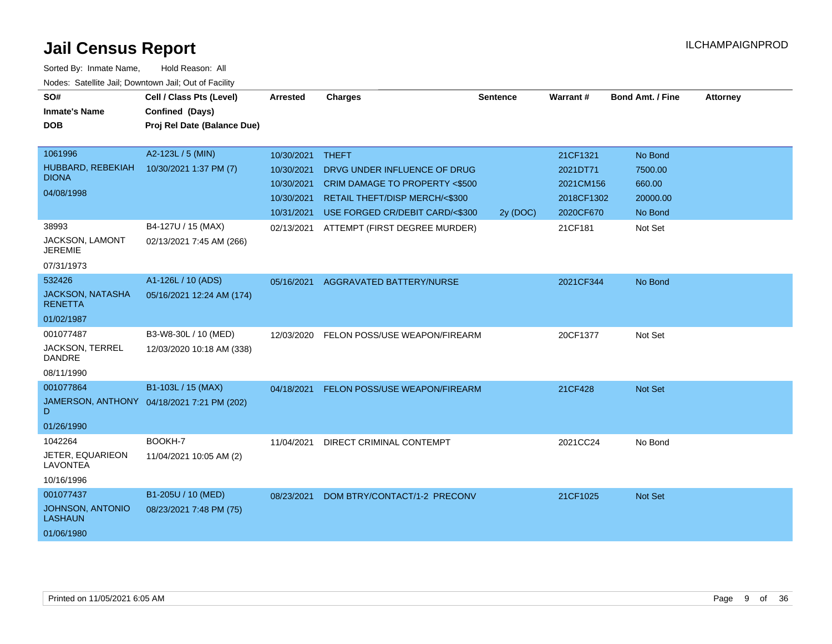| SO#<br><b>Inmate's Name</b><br><b>DOB</b>                            | Cell / Class Pts (Level)<br>Confined (Days)<br>Proj Rel Date (Balance Due) | <b>Arrested</b>                                                    | <b>Charges</b>                                                                                                                                                | <b>Sentence</b> | <b>Warrant#</b>                                              | <b>Bond Amt. / Fine</b>                             | <b>Attorney</b> |
|----------------------------------------------------------------------|----------------------------------------------------------------------------|--------------------------------------------------------------------|---------------------------------------------------------------------------------------------------------------------------------------------------------------|-----------------|--------------------------------------------------------------|-----------------------------------------------------|-----------------|
| 1061996<br>HUBBARD, REBEKIAH<br><b>DIONA</b><br>04/08/1998           | A2-123L / 5 (MIN)<br>10/30/2021 1:37 PM (7)                                | 10/30/2021<br>10/30/2021<br>10/30/2021<br>10/30/2021<br>10/31/2021 | <b>THEFT</b><br>DRVG UNDER INFLUENCE OF DRUG<br><b>CRIM DAMAGE TO PROPERTY &lt;\$500</b><br>RETAIL THEFT/DISP MERCH/<\$300<br>USE FORGED CR/DEBIT CARD/<\$300 | 2y (DOC)        | 21CF1321<br>2021DT71<br>2021CM156<br>2018CF1302<br>2020CF670 | No Bond<br>7500.00<br>660.00<br>20000.00<br>No Bond |                 |
| 38993<br>JACKSON, LAMONT<br><b>JEREMIE</b><br>07/31/1973             | B4-127U / 15 (MAX)<br>02/13/2021 7:45 AM (266)                             | 02/13/2021                                                         | ATTEMPT (FIRST DEGREE MURDER)                                                                                                                                 |                 | 21CF181                                                      | Not Set                                             |                 |
| 532426<br><b>JACKSON, NATASHA</b><br><b>RENETTA</b><br>01/02/1987    | A1-126L / 10 (ADS)<br>05/16/2021 12:24 AM (174)                            | 05/16/2021                                                         | <b>AGGRAVATED BATTERY/NURSE</b>                                                                                                                               |                 | 2021CF344                                                    | No Bond                                             |                 |
| 001077487<br><b>JACKSON, TERREL</b><br><b>DANDRE</b><br>08/11/1990   | B3-W8-30L / 10 (MED)<br>12/03/2020 10:18 AM (338)                          | 12/03/2020                                                         | FELON POSS/USE WEAPON/FIREARM                                                                                                                                 |                 | 20CF1377                                                     | Not Set                                             |                 |
| 001077864<br>D<br>01/26/1990                                         | B1-103L / 15 (MAX)<br>JAMERSON, ANTHONY 04/18/2021 7:21 PM (202)           |                                                                    | 04/18/2021 FELON POSS/USE WEAPON/FIREARM                                                                                                                      |                 | 21CF428                                                      | Not Set                                             |                 |
| 1042264<br><b>JETER, EQUARIEON</b><br><b>LAVONTEA</b><br>10/16/1996  | BOOKH-7<br>11/04/2021 10:05 AM (2)                                         | 11/04/2021                                                         | DIRECT CRIMINAL CONTEMPT                                                                                                                                      |                 | 2021CC24                                                     | No Bond                                             |                 |
| 001077437<br><b>JOHNSON, ANTONIO</b><br><b>LASHAUN</b><br>01/06/1980 | B1-205U / 10 (MED)<br>08/23/2021 7:48 PM (75)                              | 08/23/2021                                                         | DOM BTRY/CONTACT/1-2 PRECONV                                                                                                                                  |                 | 21CF1025                                                     | Not Set                                             |                 |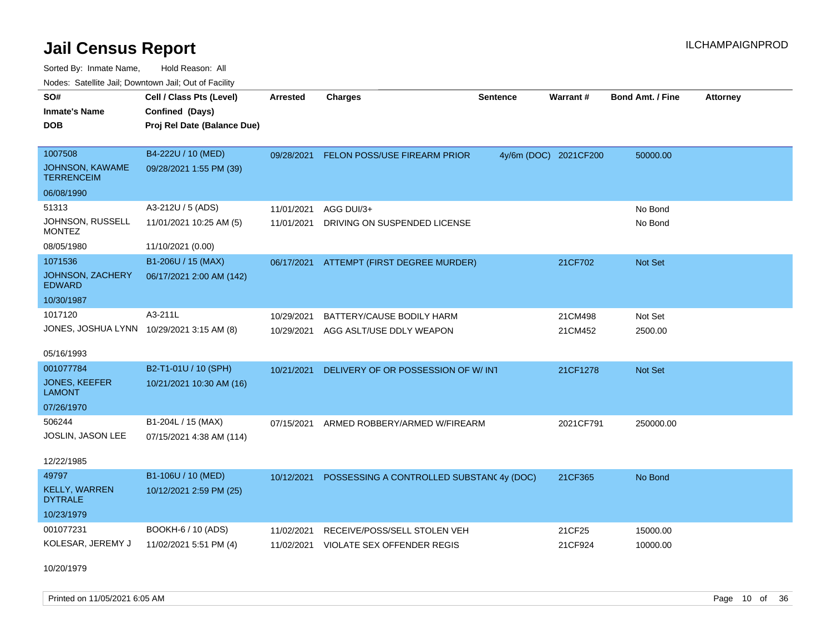Sorted By: Inmate Name, Hold Reason: All Nodes: Satellite Jail; Downtown Jail; Out of Facility

| SO#                                       | Cell / Class Pts (Level)    | <b>Arrested</b> | <b>Charges</b>                            | <b>Sentence</b> | <b>Warrant#</b>       | <b>Bond Amt. / Fine</b> | <b>Attorney</b> |
|-------------------------------------------|-----------------------------|-----------------|-------------------------------------------|-----------------|-----------------------|-------------------------|-----------------|
| <b>Inmate's Name</b>                      | Confined (Days)             |                 |                                           |                 |                       |                         |                 |
| <b>DOB</b>                                | Proj Rel Date (Balance Due) |                 |                                           |                 |                       |                         |                 |
|                                           |                             |                 |                                           |                 |                       |                         |                 |
| 1007508                                   | B4-222U / 10 (MED)          | 09/28/2021      | FELON POSS/USE FIREARM PRIOR              |                 | 4y/6m (DOC) 2021CF200 | 50000.00                |                 |
| JOHNSON, KAWAME<br><b>TERRENCEIM</b>      | 09/28/2021 1:55 PM (39)     |                 |                                           |                 |                       |                         |                 |
| 06/08/1990                                |                             |                 |                                           |                 |                       |                         |                 |
| 51313                                     | A3-212U / 5 (ADS)           | 11/01/2021      | AGG DUI/3+                                |                 |                       | No Bond                 |                 |
| JOHNSON, RUSSELL<br><b>MONTEZ</b>         | 11/01/2021 10:25 AM (5)     | 11/01/2021      | DRIVING ON SUSPENDED LICENSE              |                 |                       | No Bond                 |                 |
| 08/05/1980                                | 11/10/2021 (0.00)           |                 |                                           |                 |                       |                         |                 |
| 1071536                                   | B1-206U / 15 (MAX)          |                 | 06/17/2021 ATTEMPT (FIRST DEGREE MURDER)  |                 | 21CF702               | <b>Not Set</b>          |                 |
| JOHNSON, ZACHERY<br><b>EDWARD</b>         | 06/17/2021 2:00 AM (142)    |                 |                                           |                 |                       |                         |                 |
| 10/30/1987                                |                             |                 |                                           |                 |                       |                         |                 |
| 1017120                                   | A3-211L                     | 10/29/2021      | BATTERY/CAUSE BODILY HARM                 |                 | 21CM498               | Not Set                 |                 |
| JONES, JOSHUA LYNN 10/29/2021 3:15 AM (8) |                             | 10/29/2021      | AGG ASLT/USE DDLY WEAPON                  |                 | 21CM452               | 2500.00                 |                 |
|                                           |                             |                 |                                           |                 |                       |                         |                 |
| 05/16/1993                                |                             |                 |                                           |                 |                       |                         |                 |
| 001077784                                 | B2-T1-01U / 10 (SPH)        | 10/21/2021      | DELIVERY OF OR POSSESSION OF W/ INT       |                 | 21CF1278              | <b>Not Set</b>          |                 |
| <b>JONES, KEEFER</b><br><b>LAMONT</b>     | 10/21/2021 10:30 AM (16)    |                 |                                           |                 |                       |                         |                 |
| 07/26/1970                                |                             |                 |                                           |                 |                       |                         |                 |
| 506244                                    | B1-204L / 15 (MAX)          | 07/15/2021      | ARMED ROBBERY/ARMED W/FIREARM             |                 | 2021CF791             | 250000.00               |                 |
| JOSLIN, JASON LEE                         | 07/15/2021 4:38 AM (114)    |                 |                                           |                 |                       |                         |                 |
|                                           |                             |                 |                                           |                 |                       |                         |                 |
| 12/22/1985                                |                             |                 |                                           |                 |                       |                         |                 |
| 49797                                     | B1-106U / 10 (MED)          | 10/12/2021      | POSSESSING A CONTROLLED SUBSTANC 4y (DOC) |                 | 21CF365               | No Bond                 |                 |
| <b>KELLY, WARREN</b><br><b>DYTRALE</b>    | 10/12/2021 2:59 PM (25)     |                 |                                           |                 |                       |                         |                 |
| 10/23/1979                                |                             |                 |                                           |                 |                       |                         |                 |
| 001077231                                 | BOOKH-6 / 10 (ADS)          | 11/02/2021      | RECEIVE/POSS/SELL STOLEN VEH              |                 | 21CF25                | 15000.00                |                 |
| KOLESAR, JEREMY J                         | 11/02/2021 5:51 PM (4)      | 11/02/2021      | <b>VIOLATE SEX OFFENDER REGIS</b>         |                 | 21CF924               | 10000.00                |                 |
|                                           |                             |                 |                                           |                 |                       |                         |                 |

10/20/1979

Printed on 11/05/2021 6:05 AM **Page 10** of 36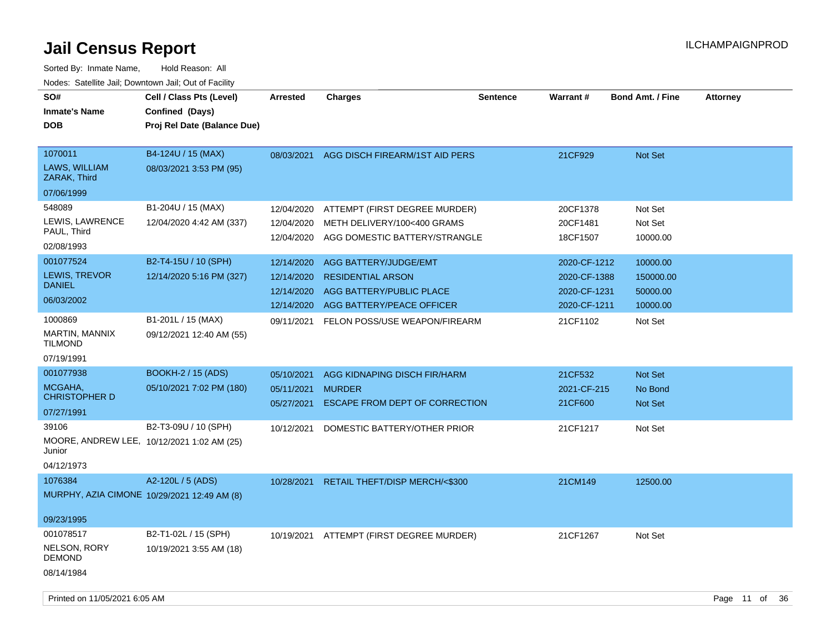| SO#<br><b>Inmate's Name</b><br><b>DOB</b>            | Cell / Class Pts (Level)<br>Confined (Days)<br>Proj Rel Date (Balance Due) | Arrested                 | <b>Charges</b>                                               | Sentence | <b>Warrant#</b>        | <b>Bond Amt. / Fine</b> | <b>Attorney</b> |  |
|------------------------------------------------------|----------------------------------------------------------------------------|--------------------------|--------------------------------------------------------------|----------|------------------------|-------------------------|-----------------|--|
| 1070011<br>LAWS, WILLIAM<br>ZARAK, Third             | B4-124U / 15 (MAX)<br>08/03/2021 3:53 PM (95)                              | 08/03/2021               | AGG DISCH FIREARM/1ST AID PERS                               |          | 21CF929                | Not Set                 |                 |  |
| 07/06/1999                                           |                                                                            |                          |                                                              |          |                        |                         |                 |  |
| 548089                                               | B1-204U / 15 (MAX)                                                         | 12/04/2020               | ATTEMPT (FIRST DEGREE MURDER)                                |          | 20CF1378               | Not Set                 |                 |  |
| LEWIS, LAWRENCE<br>PAUL, Third                       | 12/04/2020 4:42 AM (337)                                                   | 12/04/2020<br>12/04/2020 | METH DELIVERY/100<400 GRAMS<br>AGG DOMESTIC BATTERY/STRANGLE |          | 20CF1481<br>18CF1507   | Not Set<br>10000.00     |                 |  |
| 02/08/1993                                           |                                                                            |                          |                                                              |          |                        |                         |                 |  |
| 001077524                                            | B2-T4-15U / 10 (SPH)                                                       | 12/14/2020               | AGG BATTERY/JUDGE/EMT                                        |          | 2020-CF-1212           | 10000.00                |                 |  |
| <b>LEWIS, TREVOR</b>                                 | 12/14/2020 5:16 PM (327)                                                   | 12/14/2020               | <b>RESIDENTIAL ARSON</b>                                     |          | 2020-CF-1388           | 150000.00               |                 |  |
| <b>DANIEL</b>                                        |                                                                            | 12/14/2020               | AGG BATTERY/PUBLIC PLACE                                     |          | 2020-CF-1231           | 50000.00                |                 |  |
| 06/03/2002                                           |                                                                            | 12/14/2020               | AGG BATTERY/PEACE OFFICER                                    |          | 2020-CF-1211           | 10000.00                |                 |  |
| 1000869                                              | B1-201L / 15 (MAX)                                                         | 09/11/2021               | FELON POSS/USE WEAPON/FIREARM                                |          | 21CF1102               | Not Set                 |                 |  |
| <b>MARTIN, MANNIX</b><br><b>TILMOND</b>              | 09/12/2021 12:40 AM (55)                                                   |                          |                                                              |          |                        |                         |                 |  |
| 07/19/1991                                           |                                                                            |                          |                                                              |          |                        |                         |                 |  |
| 001077938                                            | <b>BOOKH-2 / 15 (ADS)</b>                                                  | 05/10/2021               | AGG KIDNAPING DISCH FIR/HARM                                 |          | 21CF532                | Not Set                 |                 |  |
| MCGAHA,<br><b>CHRISTOPHER D</b>                      | 05/10/2021 7:02 PM (180)                                                   | 05/11/2021<br>05/27/2021 | <b>MURDER</b><br>ESCAPE FROM DEPT OF CORRECTION              |          | 2021-CF-215<br>21CF600 | No Bond<br>Not Set      |                 |  |
| 07/27/1991                                           |                                                                            |                          |                                                              |          |                        |                         |                 |  |
| 39106                                                | B2-T3-09U / 10 (SPH)                                                       | 10/12/2021               | DOMESTIC BATTERY/OTHER PRIOR                                 |          | 21CF1217               | Not Set                 |                 |  |
| MOORE, ANDREW LEE, 10/12/2021 1:02 AM (25)<br>Junior |                                                                            |                          |                                                              |          |                        |                         |                 |  |
| 04/12/1973                                           |                                                                            |                          |                                                              |          |                        |                         |                 |  |
| 1076384                                              | A2-120L / 5 (ADS)                                                          | 10/28/2021               | RETAIL THEFT/DISP MERCH/<\$300                               |          | 21CM149                | 12500.00                |                 |  |
| MURPHY, AZIA CIMONE 10/29/2021 12:49 AM (8)          |                                                                            |                          |                                                              |          |                        |                         |                 |  |
| 09/23/1995                                           |                                                                            |                          |                                                              |          |                        |                         |                 |  |
| 001078517                                            | B2-T1-02L / 15 (SPH)                                                       | 10/19/2021               | ATTEMPT (FIRST DEGREE MURDER)                                |          | 21CF1267               | Not Set                 |                 |  |
| NELSON, RORY<br><b>DEMOND</b>                        | 10/19/2021 3:55 AM (18)                                                    |                          |                                                              |          |                        |                         |                 |  |
| 08/14/1984                                           |                                                                            |                          |                                                              |          |                        |                         |                 |  |
| Printed on 11/05/2021 6:05 AM                        |                                                                            |                          |                                                              |          |                        |                         | Page 11 of 36   |  |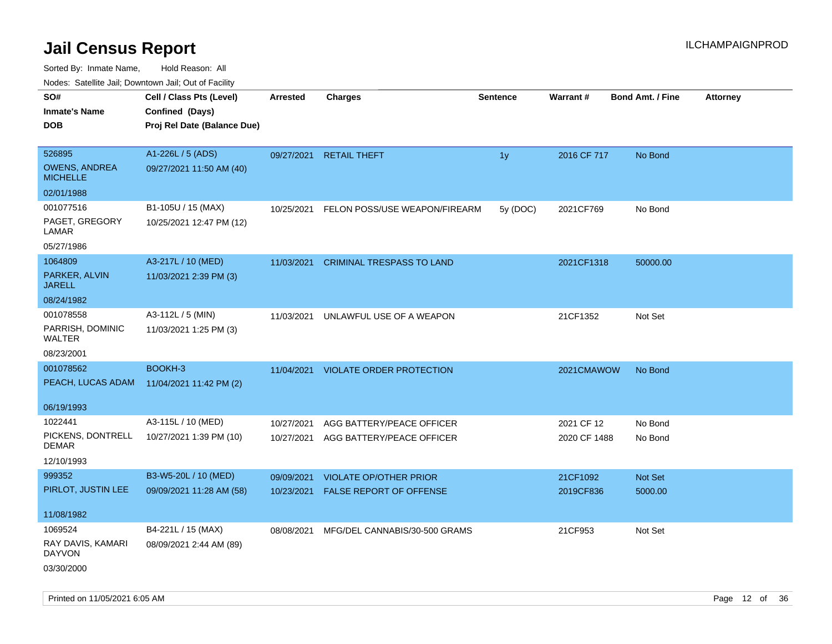| indues. Satellite Jali, Downtown Jali, Out of Facility |                             |            |                                  |                 |                 |                         |                 |
|--------------------------------------------------------|-----------------------------|------------|----------------------------------|-----------------|-----------------|-------------------------|-----------------|
| SO#                                                    | Cell / Class Pts (Level)    | Arrested   | <b>Charges</b>                   | <b>Sentence</b> | <b>Warrant#</b> | <b>Bond Amt. / Fine</b> | <b>Attorney</b> |
| <b>Inmate's Name</b>                                   | Confined (Days)             |            |                                  |                 |                 |                         |                 |
| <b>DOB</b>                                             | Proj Rel Date (Balance Due) |            |                                  |                 |                 |                         |                 |
|                                                        |                             |            |                                  |                 |                 |                         |                 |
| 526895                                                 | A1-226L / 5 (ADS)           | 09/27/2021 | <b>RETAIL THEFT</b>              | 1y              | 2016 CF 717     | No Bond                 |                 |
| <b>OWENS, ANDREA</b><br><b>MICHELLE</b>                | 09/27/2021 11:50 AM (40)    |            |                                  |                 |                 |                         |                 |
| 02/01/1988                                             |                             |            |                                  |                 |                 |                         |                 |
| 001077516                                              | B1-105U / 15 (MAX)          | 10/25/2021 | FELON POSS/USE WEAPON/FIREARM    | 5y (DOC)        | 2021CF769       | No Bond                 |                 |
| PAGET, GREGORY<br>LAMAR                                | 10/25/2021 12:47 PM (12)    |            |                                  |                 |                 |                         |                 |
| 05/27/1986                                             |                             |            |                                  |                 |                 |                         |                 |
| 1064809                                                | A3-217L / 10 (MED)          | 11/03/2021 | <b>CRIMINAL TRESPASS TO LAND</b> |                 | 2021CF1318      | 50000.00                |                 |
| PARKER, ALVIN<br><b>JARELL</b>                         | 11/03/2021 2:39 PM (3)      |            |                                  |                 |                 |                         |                 |
| 08/24/1982                                             |                             |            |                                  |                 |                 |                         |                 |
| 001078558                                              | A3-112L / 5 (MIN)           | 11/03/2021 | UNLAWFUL USE OF A WEAPON         |                 | 21CF1352        | Not Set                 |                 |
| PARRISH, DOMINIC<br>WALTER                             | 11/03/2021 1:25 PM (3)      |            |                                  |                 |                 |                         |                 |
| 08/23/2001                                             |                             |            |                                  |                 |                 |                         |                 |
| 001078562                                              | BOOKH-3                     | 11/04/2021 | <b>VIOLATE ORDER PROTECTION</b>  |                 | 2021CMAWOW      | No Bond                 |                 |
| PEACH, LUCAS ADAM                                      | 11/04/2021 11:42 PM (2)     |            |                                  |                 |                 |                         |                 |
|                                                        |                             |            |                                  |                 |                 |                         |                 |
| 06/19/1993                                             |                             |            |                                  |                 |                 |                         |                 |
| 1022441                                                | A3-115L / 10 (MED)          | 10/27/2021 | AGG BATTERY/PEACE OFFICER        |                 | 2021 CF 12      | No Bond                 |                 |
| PICKENS, DONTRELL<br><b>DEMAR</b>                      | 10/27/2021 1:39 PM (10)     | 10/27/2021 | AGG BATTERY/PEACE OFFICER        |                 | 2020 CF 1488    | No Bond                 |                 |
| 12/10/1993                                             |                             |            |                                  |                 |                 |                         |                 |
| 999352                                                 | B3-W5-20L / 10 (MED)        | 09/09/2021 | <b>VIOLATE OP/OTHER PRIOR</b>    |                 | 21CF1092        | Not Set                 |                 |
| PIRLOT, JUSTIN LEE                                     | 09/09/2021 11:28 AM (58)    | 10/23/2021 | FALSE REPORT OF OFFENSE          |                 | 2019CF836       | 5000.00                 |                 |
|                                                        |                             |            |                                  |                 |                 |                         |                 |
| 11/08/1982                                             |                             |            |                                  |                 |                 |                         |                 |
| 1069524                                                | B4-221L / 15 (MAX)          | 08/08/2021 | MFG/DEL CANNABIS/30-500 GRAMS    |                 | 21CF953         | Not Set                 |                 |
| RAY DAVIS, KAMARI<br><b>DAYVON</b>                     | 08/09/2021 2:44 AM (89)     |            |                                  |                 |                 |                         |                 |
| 03/30/2000                                             |                             |            |                                  |                 |                 |                         |                 |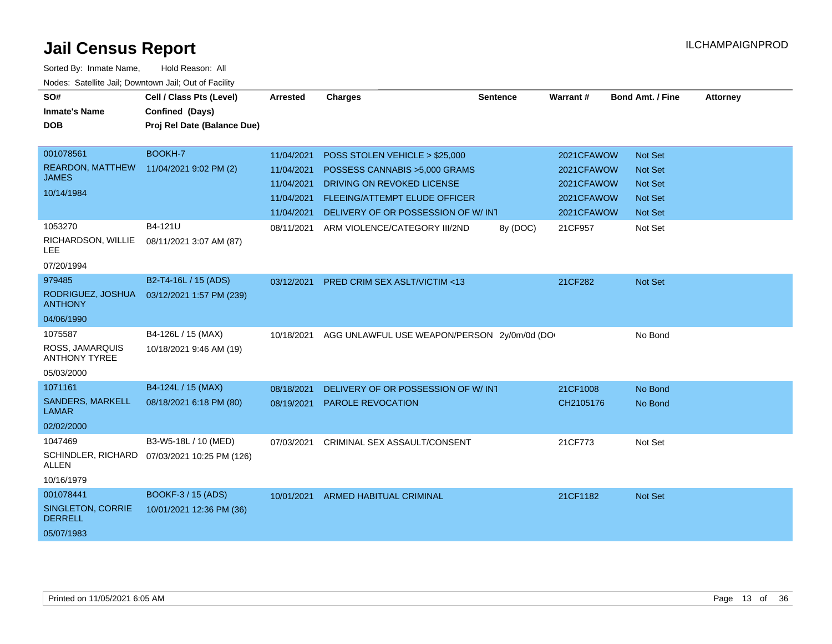| SO#<br><b>Inmate's Name</b><br><b>DOB</b> | Cell / Class Pts (Level)<br>Confined (Days)<br>Proj Rel Date (Balance Due) | <b>Arrested</b> | <b>Charges</b>                                | <b>Sentence</b> | Warrant#   | <b>Bond Amt. / Fine</b> | <b>Attorney</b> |
|-------------------------------------------|----------------------------------------------------------------------------|-----------------|-----------------------------------------------|-----------------|------------|-------------------------|-----------------|
|                                           |                                                                            |                 |                                               |                 |            |                         |                 |
| 001078561                                 | BOOKH-7                                                                    | 11/04/2021      | POSS STOLEN VEHICLE > \$25,000                |                 | 2021CFAWOW | <b>Not Set</b>          |                 |
| <b>REARDON, MATTHEW</b>                   | 11/04/2021 9:02 PM (2)                                                     | 11/04/2021      | POSSESS CANNABIS > 5,000 GRAMS                |                 | 2021CFAWOW | <b>Not Set</b>          |                 |
| <b>JAMES</b>                              |                                                                            | 11/04/2021      | DRIVING ON REVOKED LICENSE                    |                 | 2021CFAWOW | <b>Not Set</b>          |                 |
| 10/14/1984                                |                                                                            | 11/04/2021      | <b>FLEEING/ATTEMPT ELUDE OFFICER</b>          |                 | 2021CFAWOW | <b>Not Set</b>          |                 |
|                                           |                                                                            |                 | 11/04/2021 DELIVERY OF OR POSSESSION OF W/INT |                 | 2021CFAWOW | Not Set                 |                 |
| 1053270                                   | B4-121U                                                                    | 08/11/2021      | ARM VIOLENCE/CATEGORY III/2ND                 | 8y (DOC)        | 21CF957    | Not Set                 |                 |
| RICHARDSON, WILLIE<br><b>LEE</b>          | 08/11/2021 3:07 AM (87)                                                    |                 |                                               |                 |            |                         |                 |
| 07/20/1994                                |                                                                            |                 |                                               |                 |            |                         |                 |
| 979485                                    | B2-T4-16L / 15 (ADS)                                                       | 03/12/2021      | <b>PRED CRIM SEX ASLT/VICTIM &lt;13</b>       |                 | 21CF282    | Not Set                 |                 |
| RODRIGUEZ, JOSHUA<br><b>ANTHONY</b>       | 03/12/2021 1:57 PM (239)                                                   |                 |                                               |                 |            |                         |                 |
| 04/06/1990                                |                                                                            |                 |                                               |                 |            |                         |                 |
| 1075587                                   | B4-126L / 15 (MAX)                                                         | 10/18/2021      | AGG UNLAWFUL USE WEAPON/PERSON 2y/0m/0d (DO   |                 |            | No Bond                 |                 |
| ROSS, JAMARQUIS<br><b>ANTHONY TYREE</b>   | 10/18/2021 9:46 AM (19)                                                    |                 |                                               |                 |            |                         |                 |
| 05/03/2000                                |                                                                            |                 |                                               |                 |            |                         |                 |
| 1071161                                   | B4-124L / 15 (MAX)                                                         | 08/18/2021      | DELIVERY OF OR POSSESSION OF W/INT            |                 | 21CF1008   | No Bond                 |                 |
| <b>SANDERS, MARKELL</b><br><b>LAMAR</b>   | 08/18/2021 6:18 PM (80)                                                    | 08/19/2021      | PAROLE REVOCATION                             |                 | CH2105176  | No Bond                 |                 |
| 02/02/2000                                |                                                                            |                 |                                               |                 |            |                         |                 |
| 1047469                                   | B3-W5-18L / 10 (MED)                                                       | 07/03/2021      | CRIMINAL SEX ASSAULT/CONSENT                  |                 | 21CF773    | Not Set                 |                 |
| <b>ALLEN</b>                              | SCHINDLER, RICHARD 07/03/2021 10:25 PM (126)                               |                 |                                               |                 |            |                         |                 |
| 10/16/1979                                |                                                                            |                 |                                               |                 |            |                         |                 |
| 001078441                                 | BOOKF-3 / 15 (ADS)                                                         | 10/01/2021      | <b>ARMED HABITUAL CRIMINAL</b>                |                 | 21CF1182   | <b>Not Set</b>          |                 |
| SINGLETON, CORRIE<br><b>DERRELL</b>       | 10/01/2021 12:36 PM (36)                                                   |                 |                                               |                 |            |                         |                 |
| 05/07/1983                                |                                                                            |                 |                                               |                 |            |                         |                 |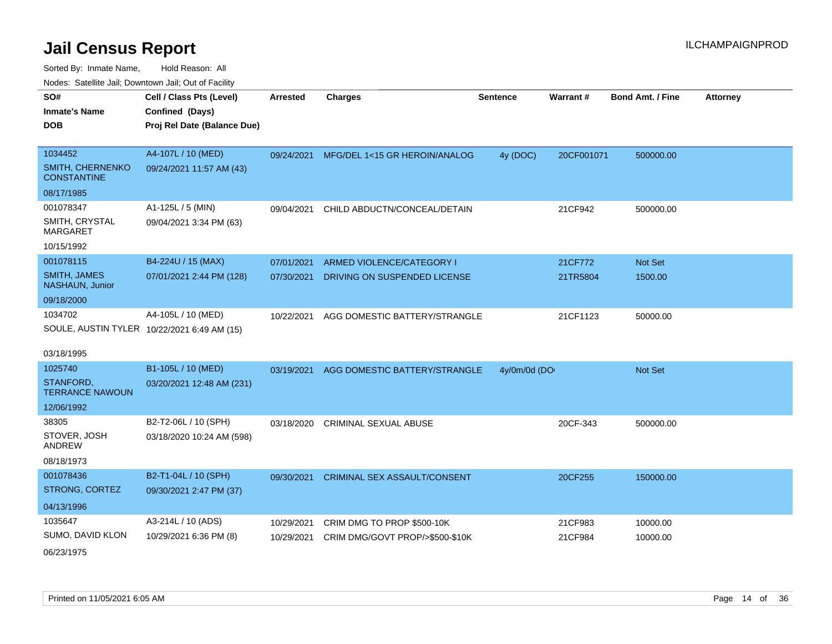| Noues. Sateme Jan, Downtown Jan, Out or Facility |                                             |            |                                     |                 |            |                  |                 |
|--------------------------------------------------|---------------------------------------------|------------|-------------------------------------|-----------------|------------|------------------|-----------------|
| SO#                                              | Cell / Class Pts (Level)                    | Arrested   | <b>Charges</b>                      | <b>Sentence</b> | Warrant#   | Bond Amt. / Fine | <b>Attorney</b> |
| Inmate's Name                                    | Confined (Days)                             |            |                                     |                 |            |                  |                 |
| <b>DOB</b>                                       | Proj Rel Date (Balance Due)                 |            |                                     |                 |            |                  |                 |
|                                                  |                                             |            |                                     |                 |            |                  |                 |
| 1034452                                          | A4-107L / 10 (MED)                          | 09/24/2021 | MFG/DEL 1<15 GR HEROIN/ANALOG       | 4y (DOC)        | 20CF001071 | 500000.00        |                 |
| <b>SMITH, CHERNENKO</b><br><b>CONSTANTINE</b>    | 09/24/2021 11:57 AM (43)                    |            |                                     |                 |            |                  |                 |
| 08/17/1985                                       |                                             |            |                                     |                 |            |                  |                 |
| 001078347                                        | A1-125L / 5 (MIN)                           | 09/04/2021 | CHILD ABDUCTN/CONCEAL/DETAIN        |                 | 21CF942    | 500000.00        |                 |
| SMITH, CRYSTAL<br>MARGARET                       | 09/04/2021 3:34 PM (63)                     |            |                                     |                 |            |                  |                 |
| 10/15/1992                                       |                                             |            |                                     |                 |            |                  |                 |
| 001078115                                        | B4-224U / 15 (MAX)                          | 07/01/2021 | ARMED VIOLENCE/CATEGORY I           |                 | 21CF772    | <b>Not Set</b>   |                 |
| <b>SMITH, JAMES</b><br><b>NASHAUN, Junior</b>    | 07/01/2021 2:44 PM (128)                    | 07/30/2021 | DRIVING ON SUSPENDED LICENSE        |                 | 21TR5804   | 1500.00          |                 |
| 09/18/2000                                       |                                             |            |                                     |                 |            |                  |                 |
| 1034702                                          | A4-105L / 10 (MED)                          | 10/22/2021 | AGG DOMESTIC BATTERY/STRANGLE       |                 | 21CF1123   | 50000.00         |                 |
|                                                  | SOULE, AUSTIN TYLER 10/22/2021 6:49 AM (15) |            |                                     |                 |            |                  |                 |
|                                                  |                                             |            |                                     |                 |            |                  |                 |
| 03/18/1995                                       |                                             |            |                                     |                 |            |                  |                 |
| 1025740                                          | B1-105L / 10 (MED)                          | 03/19/2021 | AGG DOMESTIC BATTERY/STRANGLE       | 4y/0m/0d (DO    |            | <b>Not Set</b>   |                 |
| STANFORD.<br><b>TERRANCE NAWOUN</b>              | 03/20/2021 12:48 AM (231)                   |            |                                     |                 |            |                  |                 |
| 12/06/1992                                       |                                             |            |                                     |                 |            |                  |                 |
| 38305                                            | B2-T2-06L / 10 (SPH)                        | 03/18/2020 | <b>CRIMINAL SEXUAL ABUSE</b>        |                 | 20CF-343   | 500000.00        |                 |
| STOVER, JOSH<br>ANDREW                           | 03/18/2020 10:24 AM (598)                   |            |                                     |                 |            |                  |                 |
| 08/18/1973                                       |                                             |            |                                     |                 |            |                  |                 |
| 001078436                                        | B2-T1-04L / 10 (SPH)                        | 09/30/2021 | <b>CRIMINAL SEX ASSAULT/CONSENT</b> |                 | 20CF255    | 150000.00        |                 |
| STRONG, CORTEZ                                   | 09/30/2021 2:47 PM (37)                     |            |                                     |                 |            |                  |                 |
| 04/13/1996                                       |                                             |            |                                     |                 |            |                  |                 |
| 1035647                                          | A3-214L / 10 (ADS)                          | 10/29/2021 | CRIM DMG TO PROP \$500-10K          |                 | 21CF983    | 10000.00         |                 |
| SUMO, DAVID KLON                                 | 10/29/2021 6:36 PM (8)                      | 10/29/2021 | CRIM DMG/GOVT PROP/>\$500-\$10K     |                 | 21CF984    | 10000.00         |                 |
| 06/23/1975                                       |                                             |            |                                     |                 |            |                  |                 |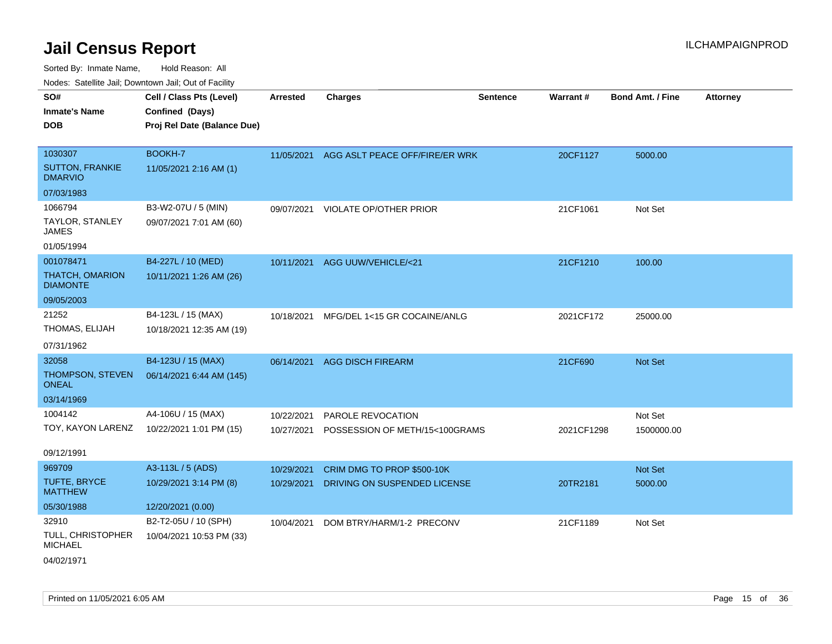| ivuutos. Saltiilit Jali, Duwilluwii Jali, Oul of Facility |                             |                 |                                           |                 |            |                  |                 |
|-----------------------------------------------------------|-----------------------------|-----------------|-------------------------------------------|-----------------|------------|------------------|-----------------|
| SO#                                                       | Cell / Class Pts (Level)    | <b>Arrested</b> | <b>Charges</b>                            | <b>Sentence</b> | Warrant#   | Bond Amt. / Fine | <b>Attorney</b> |
| <b>Inmate's Name</b>                                      | Confined (Days)             |                 |                                           |                 |            |                  |                 |
| <b>DOB</b>                                                | Proj Rel Date (Balance Due) |                 |                                           |                 |            |                  |                 |
|                                                           |                             |                 |                                           |                 |            |                  |                 |
| 1030307                                                   | BOOKH-7                     |                 | 11/05/2021 AGG ASLT PEACE OFF/FIRE/ER WRK |                 | 20CF1127   | 5000.00          |                 |
| <b>SUTTON, FRANKIE</b><br><b>DMARVIO</b>                  | 11/05/2021 2:16 AM (1)      |                 |                                           |                 |            |                  |                 |
| 07/03/1983                                                |                             |                 |                                           |                 |            |                  |                 |
| 1066794                                                   | B3-W2-07U / 5 (MIN)         | 09/07/2021      | <b>VIOLATE OP/OTHER PRIOR</b>             |                 | 21CF1061   | Not Set          |                 |
| TAYLOR, STANLEY<br><b>JAMES</b>                           | 09/07/2021 7:01 AM (60)     |                 |                                           |                 |            |                  |                 |
| 01/05/1994                                                |                             |                 |                                           |                 |            |                  |                 |
| 001078471                                                 | B4-227L / 10 (MED)          |                 | 10/11/2021 AGG UUW/VEHICLE/<21            |                 | 21CF1210   | 100.00           |                 |
| <b>THATCH, OMARION</b><br><b>DIAMONTE</b>                 | 10/11/2021 1:26 AM (26)     |                 |                                           |                 |            |                  |                 |
| 09/05/2003                                                |                             |                 |                                           |                 |            |                  |                 |
| 21252                                                     | B4-123L / 15 (MAX)          | 10/18/2021      | MFG/DEL 1<15 GR COCAINE/ANLG              |                 | 2021CF172  | 25000.00         |                 |
| THOMAS, ELIJAH                                            | 10/18/2021 12:35 AM (19)    |                 |                                           |                 |            |                  |                 |
| 07/31/1962                                                |                             |                 |                                           |                 |            |                  |                 |
| 32058                                                     | B4-123U / 15 (MAX)          | 06/14/2021      | <b>AGG DISCH FIREARM</b>                  |                 | 21CF690    | Not Set          |                 |
| THOMPSON, STEVEN<br><b>ONEAL</b>                          | 06/14/2021 6:44 AM (145)    |                 |                                           |                 |            |                  |                 |
| 03/14/1969                                                |                             |                 |                                           |                 |            |                  |                 |
| 1004142                                                   | A4-106U / 15 (MAX)          | 10/22/2021      | PAROLE REVOCATION                         |                 |            | Not Set          |                 |
| TOY, KAYON LARENZ                                         | 10/22/2021 1:01 PM (15)     | 10/27/2021      | POSSESSION OF METH/15<100GRAMS            |                 | 2021CF1298 | 1500000.00       |                 |
|                                                           |                             |                 |                                           |                 |            |                  |                 |
| 09/12/1991                                                |                             |                 |                                           |                 |            |                  |                 |
| 969709                                                    | A3-113L / 5 (ADS)           | 10/29/2021      | CRIM DMG TO PROP \$500-10K                |                 |            | Not Set          |                 |
| TUFTE, BRYCE<br><b>MATTHEW</b>                            | 10/29/2021 3:14 PM (8)      | 10/29/2021      | DRIVING ON SUSPENDED LICENSE              |                 | 20TR2181   | 5000.00          |                 |
| 05/30/1988                                                | 12/20/2021 (0.00)           |                 |                                           |                 |            |                  |                 |
| 32910                                                     | B2-T2-05U / 10 (SPH)        | 10/04/2021      | DOM BTRY/HARM/1-2 PRECONV                 |                 | 21CF1189   | Not Set          |                 |
| <b>TULL, CHRISTOPHER</b><br><b>MICHAEL</b>                | 10/04/2021 10:53 PM (33)    |                 |                                           |                 |            |                  |                 |
| 04/02/1971                                                |                             |                 |                                           |                 |            |                  |                 |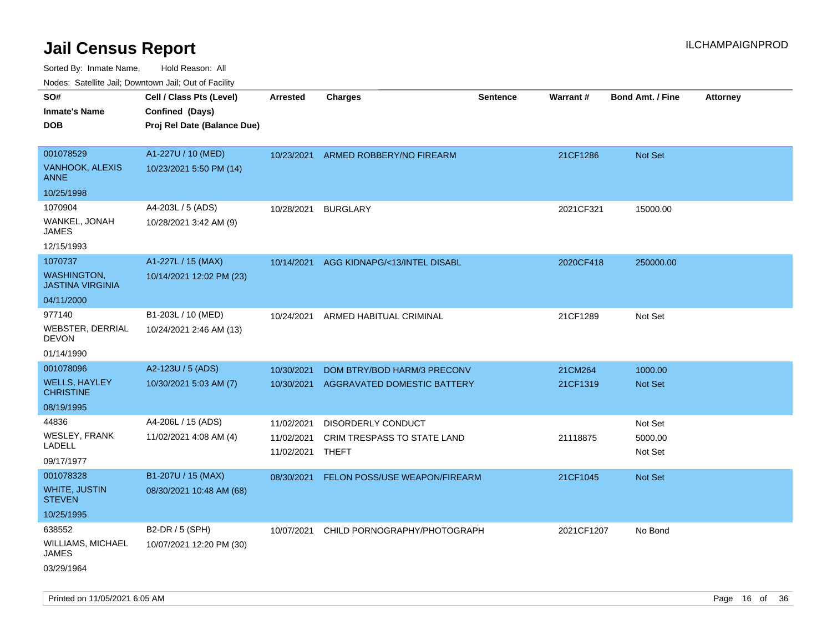| rouco. Calcinic Jan, Downtown Jan, Out of Facility |                                             |                 |                                      |                 |            |                         |                 |
|----------------------------------------------------|---------------------------------------------|-----------------|--------------------------------------|-----------------|------------|-------------------------|-----------------|
| SO#<br>Inmate's Name                               | Cell / Class Pts (Level)<br>Confined (Days) | <b>Arrested</b> | <b>Charges</b>                       | <b>Sentence</b> | Warrant#   | <b>Bond Amt. / Fine</b> | <b>Attorney</b> |
| DOB                                                | Proj Rel Date (Balance Due)                 |                 |                                      |                 |            |                         |                 |
|                                                    |                                             |                 |                                      |                 |            |                         |                 |
| 001078529                                          | A1-227U / 10 (MED)                          |                 | 10/23/2021 ARMED ROBBERY/NO FIREARM  |                 | 21CF1286   | <b>Not Set</b>          |                 |
| <b>VANHOOK, ALEXIS</b><br>ANNE                     | 10/23/2021 5:50 PM (14)                     |                 |                                      |                 |            |                         |                 |
| 10/25/1998                                         |                                             |                 |                                      |                 |            |                         |                 |
| 1070904                                            | A4-203L / 5 (ADS)                           | 10/28/2021      | <b>BURGLARY</b>                      |                 | 2021CF321  | 15000.00                |                 |
| WANKEL, JONAH<br>JAMES                             | 10/28/2021 3:42 AM (9)                      |                 |                                      |                 |            |                         |                 |
| 12/15/1993                                         |                                             |                 |                                      |                 |            |                         |                 |
| 1070737                                            | A1-227L / 15 (MAX)                          | 10/14/2021      | AGG KIDNAPG/<13/INTEL DISABL         |                 | 2020CF418  | 250000.00               |                 |
| WASHINGTON,<br>JASTINA VIRGINIA                    | 10/14/2021 12:02 PM (23)                    |                 |                                      |                 |            |                         |                 |
| 04/11/2000                                         |                                             |                 |                                      |                 |            |                         |                 |
| 977140                                             | B1-203L / 10 (MED)                          | 10/24/2021      | ARMED HABITUAL CRIMINAL              |                 | 21CF1289   | Not Set                 |                 |
| WEBSTER, DERRIAL<br>DEVON                          | 10/24/2021 2:46 AM (13)                     |                 |                                      |                 |            |                         |                 |
| 01/14/1990                                         |                                             |                 |                                      |                 |            |                         |                 |
| 001078096                                          | A2-123U / 5 (ADS)                           | 10/30/2021      | DOM BTRY/BOD HARM/3 PRECONV          |                 | 21CM264    | 1000.00                 |                 |
| <b>WELLS, HAYLEY</b><br><b>CHRISTINE</b>           | 10/30/2021 5:03 AM (7)                      | 10/30/2021      | AGGRAVATED DOMESTIC BATTERY          |                 | 21CF1319   | <b>Not Set</b>          |                 |
| 08/19/1995                                         |                                             |                 |                                      |                 |            |                         |                 |
| 44836                                              | A4-206L / 15 (ADS)                          | 11/02/2021      | <b>DISORDERLY CONDUCT</b>            |                 |            | Not Set                 |                 |
| WESLEY, FRANK                                      | 11/02/2021 4:08 AM (4)                      | 11/02/2021      | CRIM TRESPASS TO STATE LAND          |                 | 21118875   | 5000.00                 |                 |
| LADELL                                             |                                             | 11/02/2021      | THEFT                                |                 |            | Not Set                 |                 |
| 09/17/1977                                         |                                             |                 |                                      |                 |            |                         |                 |
| 001078328                                          | B1-207U / 15 (MAX)                          | 08/30/2021      | <b>FELON POSS/USE WEAPON/FIREARM</b> |                 | 21CF1045   | <b>Not Set</b>          |                 |
| WHITE, JUSTIN<br>STEVEN                            | 08/30/2021 10:48 AM (68)                    |                 |                                      |                 |            |                         |                 |
| 10/25/1995                                         |                                             |                 |                                      |                 |            |                         |                 |
| 638552                                             | B2-DR / 5 (SPH)                             | 10/07/2021      | CHILD PORNOGRAPHY/PHOTOGRAPH         |                 | 2021CF1207 | No Bond                 |                 |
| WILLIAMS, MICHAEL<br>JAMES                         | 10/07/2021 12:20 PM (30)                    |                 |                                      |                 |            |                         |                 |
| 03/29/1964                                         |                                             |                 |                                      |                 |            |                         |                 |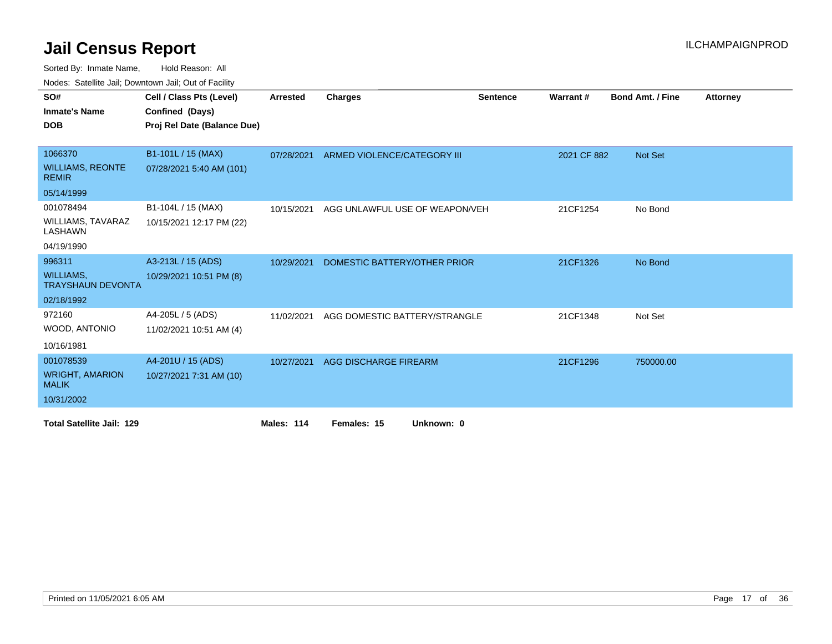Sorted By: Inmate Name, Hold Reason: All

Nodes: Satellite Jail; Downtown Jail; Out of Facility

| SO#<br><b>Inmate's Name</b>                                          | Cell / Class Pts (Level)<br>Confined (Days)    | <b>Arrested</b> | <b>Charges</b>                 | <b>Sentence</b> | <b>Warrant#</b> | <b>Bond Amt. / Fine</b> | <b>Attorney</b> |
|----------------------------------------------------------------------|------------------------------------------------|-----------------|--------------------------------|-----------------|-----------------|-------------------------|-----------------|
| <b>DOB</b>                                                           | Proj Rel Date (Balance Due)                    |                 |                                |                 |                 |                         |                 |
| 1066370<br><b>WILLIAMS, REONTE</b><br><b>REMIR</b><br>05/14/1999     | B1-101L / 15 (MAX)<br>07/28/2021 5:40 AM (101) | 07/28/2021      | ARMED VIOLENCE/CATEGORY III    |                 | 2021 CF 882     | <b>Not Set</b>          |                 |
| 001078494<br><b>WILLIAMS, TAVARAZ</b><br>LASHAWN<br>04/19/1990       | B1-104L / 15 (MAX)<br>10/15/2021 12:17 PM (22) | 10/15/2021      | AGG UNLAWFUL USE OF WEAPON/VEH |                 | 21CF1254        | No Bond                 |                 |
| 996311<br><b>WILLIAMS.</b><br><b>TRAYSHAUN DEVONTA</b><br>02/18/1992 | A3-213L / 15 (ADS)<br>10/29/2021 10:51 PM (8)  | 10/29/2021      | DOMESTIC BATTERY/OTHER PRIOR   |                 | 21CF1326        | No Bond                 |                 |
| 972160<br>WOOD, ANTONIO<br>10/16/1981                                | A4-205L / 5 (ADS)<br>11/02/2021 10:51 AM (4)   | 11/02/2021      | AGG DOMESTIC BATTERY/STRANGLE  |                 | 21CF1348        | Not Set                 |                 |
| 001078539<br><b>WRIGHT, AMARION</b><br><b>MALIK</b><br>10/31/2002    | A4-201U / 15 (ADS)<br>10/27/2021 7:31 AM (10)  | 10/27/2021      | AGG DISCHARGE FIREARM          |                 | 21CF1296        | 750000.00               |                 |
| <b>Total Satellite Jail: 129</b>                                     |                                                | Males: 114      | Females: 15<br>Unknown: 0      |                 |                 |                         |                 |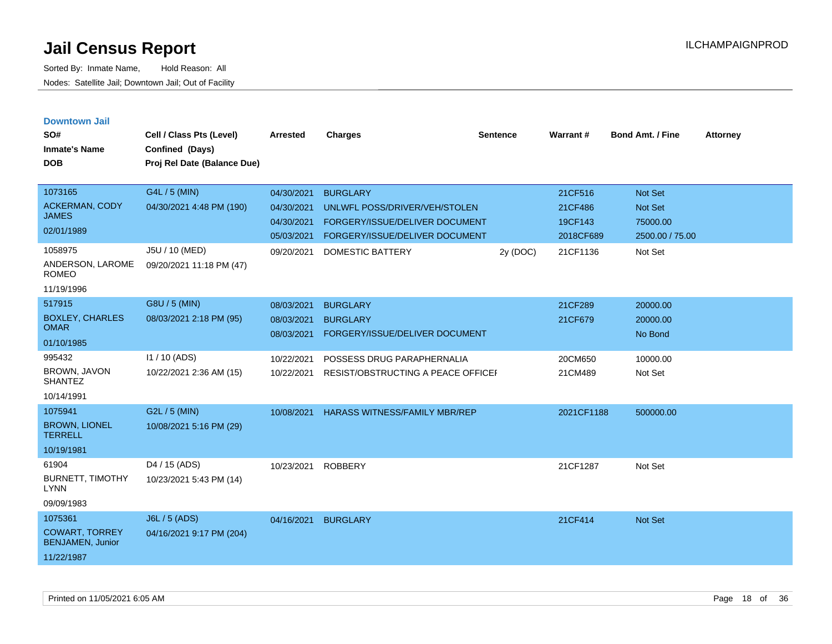**Downtown Jail**

Sorted By: Inmate Name, Hold Reason: All Nodes: Satellite Jail; Downtown Jail; Out of Facility

| SO#<br><b>Inmate's Name</b><br><b>DOB</b>                                 | Cell / Class Pts (Level)<br>Confined (Days)<br>Proj Rel Date (Balance Due) | <b>Arrested</b>                                                    | <b>Charges</b>                                                                                                                                  | <b>Sentence</b> | Warrant#                                               | <b>Bond Amt. / Fine</b>                                      | Attorney |
|---------------------------------------------------------------------------|----------------------------------------------------------------------------|--------------------------------------------------------------------|-------------------------------------------------------------------------------------------------------------------------------------------------|-----------------|--------------------------------------------------------|--------------------------------------------------------------|----------|
| 1073165<br><b>ACKERMAN, CODY</b><br><b>JAMES</b><br>02/01/1989<br>1058975 | G4L / 5 (MIN)<br>04/30/2021 4:48 PM (190)<br>J5U / 10 (MED)                | 04/30/2021<br>04/30/2021<br>04/30/2021<br>05/03/2021<br>09/20/2021 | <b>BURGLARY</b><br>UNLWFL POSS/DRIVER/VEH/STOLEN<br>FORGERY/ISSUE/DELIVER DOCUMENT<br>FORGERY/ISSUE/DELIVER DOCUMENT<br><b>DOMESTIC BATTERY</b> | 2y (DOC)        | 21CF516<br>21CF486<br>19CF143<br>2018CF689<br>21CF1136 | Not Set<br>Not Set<br>75000.00<br>2500.00 / 75.00<br>Not Set |          |
| ANDERSON, LAROME<br><b>ROMEO</b><br>11/19/1996                            | 09/20/2021 11:18 PM (47)                                                   |                                                                    |                                                                                                                                                 |                 |                                                        |                                                              |          |
| 517915<br><b>BOXLEY, CHARLES</b><br><b>OMAR</b><br>01/10/1985             | G8U / 5 (MIN)<br>08/03/2021 2:18 PM (95)                                   | 08/03/2021<br>08/03/2021<br>08/03/2021                             | <b>BURGLARY</b><br><b>BURGLARY</b><br>FORGERY/ISSUE/DELIVER DOCUMENT                                                                            |                 | 21CF289<br>21CF679                                     | 20000.00<br>20000.00<br>No Bond                              |          |
| 995432<br>BROWN, JAVON<br><b>SHANTEZ</b><br>10/14/1991                    | 11 / 10 (ADS)<br>10/22/2021 2:36 AM (15)                                   | 10/22/2021<br>10/22/2021                                           | POSSESS DRUG PARAPHERNALIA<br>RESIST/OBSTRUCTING A PEACE OFFICEF                                                                                |                 | 20CM650<br>21CM489                                     | 10000.00<br>Not Set                                          |          |
| 1075941<br><b>BROWN, LIONEL</b><br><b>TERRELL</b><br>10/19/1981           | G2L / 5 (MIN)<br>10/08/2021 5:16 PM (29)                                   | 10/08/2021                                                         | <b>HARASS WITNESS/FAMILY MBR/REP</b>                                                                                                            |                 | 2021CF1188                                             | 500000.00                                                    |          |
| 61904<br><b>BURNETT, TIMOTHY</b>                                          | D4 / 15 (ADS)<br>10/23/2021 5:43 PM (14)                                   | 10/23/2021                                                         | <b>ROBBERY</b>                                                                                                                                  |                 | 21CF1287                                               | Not Set                                                      |          |

LYNN

09/09/1983

| 1075361                                          | J6L / 5 (ADS)            | 04/16/2021 | <b>BURGLARY</b> | 21CF414 | <b>Not Set</b> |
|--------------------------------------------------|--------------------------|------------|-----------------|---------|----------------|
| <b>COWART, TORREY</b><br><b>BENJAMEN, Junior</b> | 04/16/2021 9:17 PM (204) |            |                 |         |                |
| 11/22/1987                                       |                          |            |                 |         |                |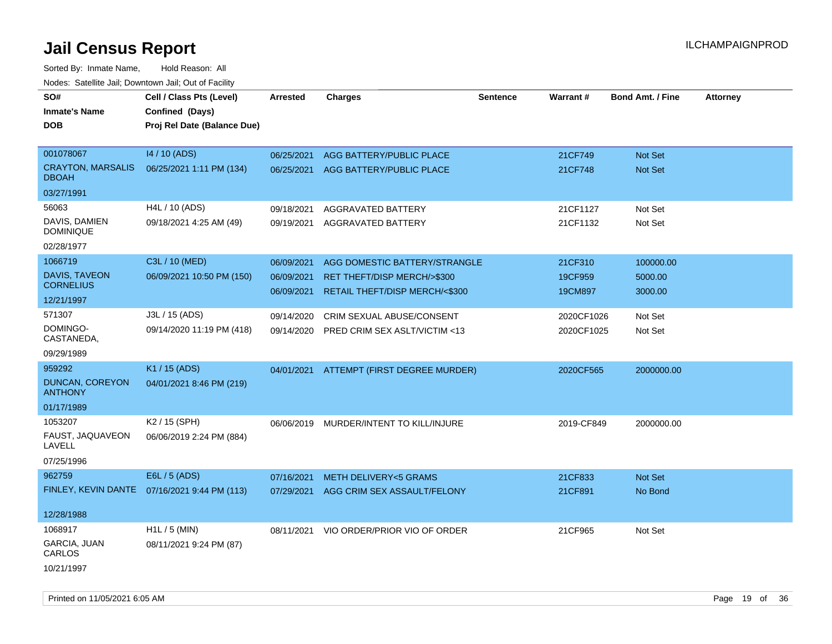| rougs. Calcinic Jan, Downtown Jan, Out of Facility |                                              |                 |                                          |                 |            |                         |                 |
|----------------------------------------------------|----------------------------------------------|-----------------|------------------------------------------|-----------------|------------|-------------------------|-----------------|
| SO#                                                | Cell / Class Pts (Level)                     | <b>Arrested</b> | <b>Charges</b>                           | <b>Sentence</b> | Warrant#   | <b>Bond Amt. / Fine</b> | <b>Attorney</b> |
| <b>Inmate's Name</b>                               | Confined (Days)                              |                 |                                          |                 |            |                         |                 |
| <b>DOB</b>                                         | Proj Rel Date (Balance Due)                  |                 |                                          |                 |            |                         |                 |
|                                                    |                                              |                 |                                          |                 |            |                         |                 |
| 001078067                                          | 14 / 10 (ADS)                                | 06/25/2021      | AGG BATTERY/PUBLIC PLACE                 |                 | 21CF749    | Not Set                 |                 |
| <b>CRAYTON, MARSALIS</b><br><b>DBOAH</b>           | 06/25/2021 1:11 PM (134)                     | 06/25/2021      | AGG BATTERY/PUBLIC PLACE                 |                 | 21CF748    | Not Set                 |                 |
| 03/27/1991                                         |                                              |                 |                                          |                 |            |                         |                 |
| 56063                                              | H4L / 10 (ADS)                               | 09/18/2021      | AGGRAVATED BATTERY                       |                 | 21CF1127   | Not Set                 |                 |
| DAVIS, DAMIEN<br><b>DOMINIQUE</b>                  | 09/18/2021 4:25 AM (49)                      |                 | 09/19/2021 AGGRAVATED BATTERY            |                 | 21CF1132   | Not Set                 |                 |
| 02/28/1977                                         |                                              |                 |                                          |                 |            |                         |                 |
| 1066719                                            | C3L / 10 (MED)                               | 06/09/2021      | AGG DOMESTIC BATTERY/STRANGLE            |                 | 21CF310    | 100000.00               |                 |
| DAVIS, TAVEON                                      | 06/09/2021 10:50 PM (150)                    | 06/09/2021      | RET THEFT/DISP MERCH/>\$300              |                 | 19CF959    | 5000.00                 |                 |
| <b>CORNELIUS</b>                                   |                                              | 06/09/2021      | RETAIL THEFT/DISP MERCH/<\$300           |                 | 19CM897    | 3000.00                 |                 |
| 12/21/1997                                         |                                              |                 |                                          |                 |            |                         |                 |
| 571307                                             | J3L / 15 (ADS)                               | 09/14/2020      | CRIM SEXUAL ABUSE/CONSENT                |                 | 2020CF1026 | Not Set                 |                 |
| DOMINGO-<br>CASTANEDA,                             | 09/14/2020 11:19 PM (418)                    | 09/14/2020      | PRED CRIM SEX ASLT/VICTIM <13            |                 | 2020CF1025 | Not Set                 |                 |
| 09/29/1989                                         |                                              |                 |                                          |                 |            |                         |                 |
| 959292                                             | K1 / 15 (ADS)                                |                 | 04/01/2021 ATTEMPT (FIRST DEGREE MURDER) |                 | 2020CF565  | 2000000.00              |                 |
| DUNCAN, COREYON<br><b>ANTHONY</b>                  | 04/01/2021 8:46 PM (219)                     |                 |                                          |                 |            |                         |                 |
| 01/17/1989                                         |                                              |                 |                                          |                 |            |                         |                 |
| 1053207                                            | K2 / 15 (SPH)                                |                 | 06/06/2019 MURDER/INTENT TO KILL/INJURE  |                 | 2019-CF849 | 2000000.00              |                 |
| FAUST, JAQUAVEON<br>LAVELL                         | 06/06/2019 2:24 PM (884)                     |                 |                                          |                 |            |                         |                 |
| 07/25/1996                                         |                                              |                 |                                          |                 |            |                         |                 |
| 962759                                             | E6L / 5 (ADS)                                | 07/16/2021      | <b>METH DELIVERY&lt;5 GRAMS</b>          |                 | 21CF833    | <b>Not Set</b>          |                 |
|                                                    | FINLEY, KEVIN DANTE 07/16/2021 9:44 PM (113) | 07/29/2021      | AGG CRIM SEX ASSAULT/FELONY              |                 | 21CF891    | No Bond                 |                 |
| 12/28/1988                                         |                                              |                 |                                          |                 |            |                         |                 |
| 1068917                                            | $H1L / 5$ (MIN)                              |                 | 08/11/2021 VIO ORDER/PRIOR VIO OF ORDER  |                 | 21CF965    | Not Set                 |                 |
| GARCIA, JUAN<br>CARLOS                             | 08/11/2021 9:24 PM (87)                      |                 |                                          |                 |            |                         |                 |
| 10/21/1997                                         |                                              |                 |                                          |                 |            |                         |                 |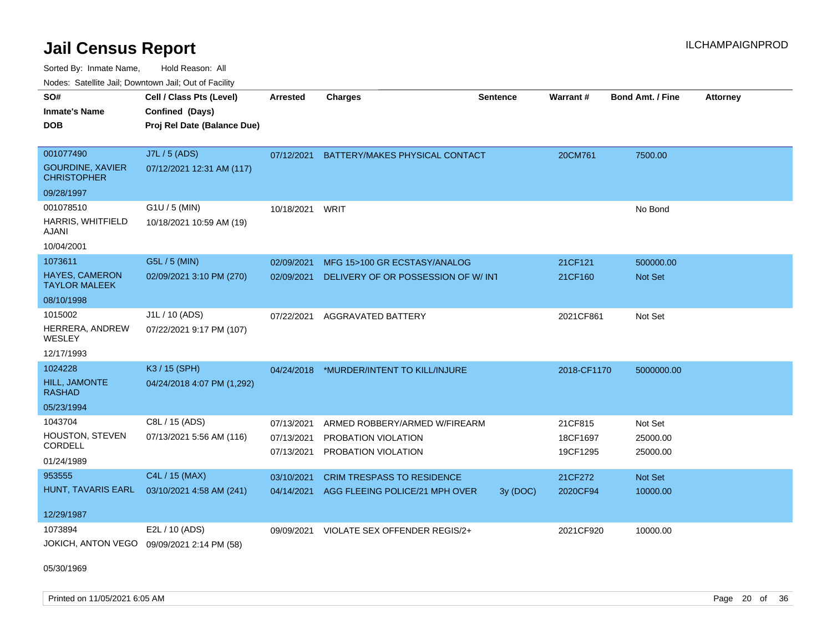Sorted By: Inmate Name, Hold Reason: All Nodes: Satellite Jail; Downtown Jail; Out of Facility

| SO#                                           | Cell / Class Pts (Level)                                     | <b>Arrested</b>          | <b>Charges</b>                             | <b>Sentence</b> | Warrant#             | <b>Bond Amt. / Fine</b> | <b>Attorney</b> |
|-----------------------------------------------|--------------------------------------------------------------|--------------------------|--------------------------------------------|-----------------|----------------------|-------------------------|-----------------|
| <b>Inmate's Name</b>                          | Confined (Days)                                              |                          |                                            |                 |                      |                         |                 |
| <b>DOB</b>                                    | Proj Rel Date (Balance Due)                                  |                          |                                            |                 |                      |                         |                 |
|                                               |                                                              |                          |                                            |                 |                      |                         |                 |
| 001077490                                     | J7L / 5 (ADS)                                                | 07/12/2021               | BATTERY/MAKES PHYSICAL CONTACT             |                 | 20CM761              | 7500.00                 |                 |
| <b>GOURDINE, XAVIER</b><br><b>CHRISTOPHER</b> | 07/12/2021 12:31 AM (117)                                    |                          |                                            |                 |                      |                         |                 |
| 09/28/1997                                    |                                                              |                          |                                            |                 |                      |                         |                 |
| 001078510                                     | G1U / 5 (MIN)                                                | 10/18/2021               | WRIT                                       |                 |                      | No Bond                 |                 |
| HARRIS, WHITFIELD<br><b>AJANI</b>             | 10/18/2021 10:59 AM (19)                                     |                          |                                            |                 |                      |                         |                 |
| 10/04/2001                                    |                                                              |                          |                                            |                 |                      |                         |                 |
| 1073611                                       | G5L / 5 (MIN)                                                | 02/09/2021               | MFG 15>100 GR ECSTASY/ANALOG               |                 | 21CF121              | 500000.00               |                 |
| <b>HAYES, CAMERON</b><br><b>TAYLOR MALEEK</b> | 02/09/2021 3:10 PM (270)                                     | 02/09/2021               | DELIVERY OF OR POSSESSION OF W/INT         |                 | 21CF160              | Not Set                 |                 |
| 08/10/1998                                    |                                                              |                          |                                            |                 |                      |                         |                 |
| 1015002                                       | J1L / 10 (ADS)                                               | 07/22/2021               | <b>AGGRAVATED BATTERY</b>                  |                 | 2021CF861            | Not Set                 |                 |
| HERRERA, ANDREW<br>WESLEY                     | 07/22/2021 9:17 PM (107)                                     |                          |                                            |                 |                      |                         |                 |
| 12/17/1993                                    |                                                              |                          |                                            |                 |                      |                         |                 |
| 1024228                                       | K3 / 15 (SPH)                                                |                          | 04/24/2018 *MURDER/INTENT TO KILL/INJURE   |                 | 2018-CF1170          | 5000000.00              |                 |
| HILL, JAMONTE<br><b>RASHAD</b>                | 04/24/2018 4:07 PM (1,292)                                   |                          |                                            |                 |                      |                         |                 |
| 05/23/1994                                    |                                                              |                          |                                            |                 |                      |                         |                 |
| 1043704                                       | C8L / 15 (ADS)                                               | 07/13/2021               | ARMED ROBBERY/ARMED W/FIREARM              |                 | 21CF815              | Not Set                 |                 |
| <b>HOUSTON, STEVEN</b><br>CORDELL             | 07/13/2021 5:56 AM (116)                                     | 07/13/2021<br>07/13/2021 | PROBATION VIOLATION<br>PROBATION VIOLATION |                 | 18CF1697<br>19CF1295 | 25000.00<br>25000.00    |                 |
| 01/24/1989                                    |                                                              |                          |                                            |                 |                      |                         |                 |
| 953555                                        | C4L / 15 (MAX)                                               | 03/10/2021               | <b>CRIM TRESPASS TO RESIDENCE</b>          |                 | 21CF272              | Not Set                 |                 |
| HUNT, TAVARIS EARL                            | 03/10/2021 4:58 AM (241)                                     | 04/14/2021               | AGG FLEEING POLICE/21 MPH OVER             | 3y (DOC)        | 2020CF94             | 10000.00                |                 |
| 12/29/1987                                    |                                                              |                          |                                            |                 |                      |                         |                 |
| 1073894                                       | E2L / 10 (ADS)<br>JOKICH, ANTON VEGO 09/09/2021 2:14 PM (58) | 09/09/2021               | VIOLATE SEX OFFENDER REGIS/2+              |                 | 2021CF920            | 10000.00                |                 |

05/30/1969

Printed on 11/05/2021 6:05 AM **Page 20 of 36**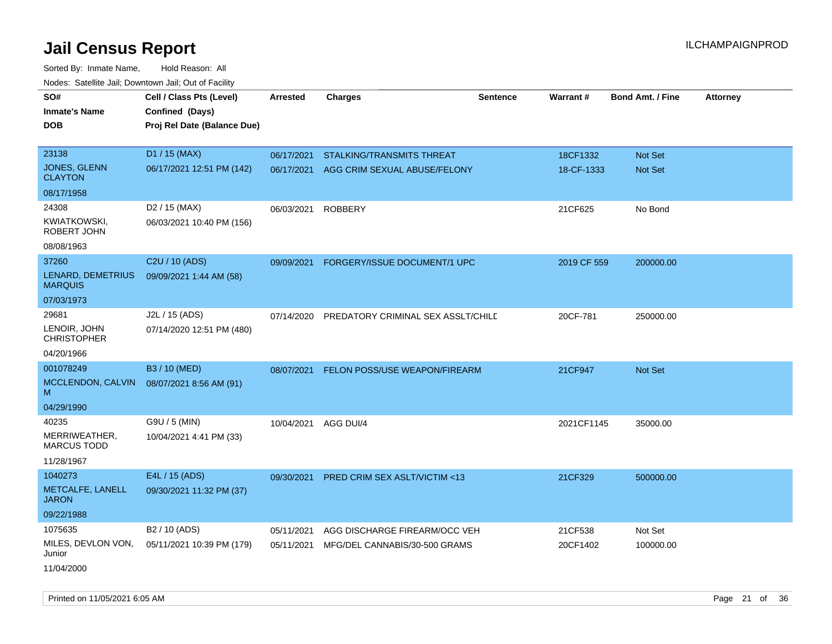| Todoo. Catolino can, Bomntonn can, Out of Fability |                                                                            |                 |                                               |                 |             |                         |                 |
|----------------------------------------------------|----------------------------------------------------------------------------|-----------------|-----------------------------------------------|-----------------|-------------|-------------------------|-----------------|
| SO#<br><b>Inmate's Name</b><br><b>DOB</b>          | Cell / Class Pts (Level)<br>Confined (Days)<br>Proj Rel Date (Balance Due) | <b>Arrested</b> | <b>Charges</b>                                | <b>Sentence</b> | Warrant#    | <b>Bond Amt. / Fine</b> | <b>Attorney</b> |
| 23138                                              | D1 / 15 (MAX)                                                              | 06/17/2021      | <b>STALKING/TRANSMITS THREAT</b>              |                 | 18CF1332    | <b>Not Set</b>          |                 |
| JONES, GLENN<br><b>CLAYTON</b>                     | 06/17/2021 12:51 PM (142)                                                  | 06/17/2021      | AGG CRIM SEXUAL ABUSE/FELONY                  |                 | 18-CF-1333  | <b>Not Set</b>          |                 |
| 08/17/1958                                         |                                                                            |                 |                                               |                 |             |                         |                 |
| 24308                                              | D <sub>2</sub> / 15 (MAX)                                                  | 06/03/2021      | <b>ROBBERY</b>                                |                 | 21CF625     | No Bond                 |                 |
| <b>KWIATKOWSKI,</b><br>ROBERT JOHN                 | 06/03/2021 10:40 PM (156)                                                  |                 |                                               |                 |             |                         |                 |
| 08/08/1963                                         |                                                                            |                 |                                               |                 |             |                         |                 |
| 37260                                              | C <sub>2</sub> U / 10 (ADS)                                                | 09/09/2021      | FORGERY/ISSUE DOCUMENT/1 UPC                  |                 | 2019 CF 559 | 200000.00               |                 |
| LENARD, DEMETRIUS<br><b>MARQUIS</b>                | 09/09/2021 1:44 AM (58)                                                    |                 |                                               |                 |             |                         |                 |
| 07/03/1973                                         |                                                                            |                 |                                               |                 |             |                         |                 |
| 29681                                              | J2L / 15 (ADS)                                                             |                 | 07/14/2020 PREDATORY CRIMINAL SEX ASSLT/CHILD |                 | 20CF-781    | 250000.00               |                 |
| LENOIR, JOHN<br><b>CHRISTOPHER</b>                 | 07/14/2020 12:51 PM (480)                                                  |                 |                                               |                 |             |                         |                 |
| 04/20/1966                                         |                                                                            |                 |                                               |                 |             |                         |                 |
| 001078249                                          | B3 / 10 (MED)                                                              | 08/07/2021      | <b>FELON POSS/USE WEAPON/FIREARM</b>          |                 | 21CF947     | <b>Not Set</b>          |                 |
| MCCLENDON, CALVIN<br>M                             | 08/07/2021 8:56 AM (91)                                                    |                 |                                               |                 |             |                         |                 |
| 04/29/1990                                         |                                                                            |                 |                                               |                 |             |                         |                 |
| 40235                                              | G9U / 5 (MIN)                                                              | 10/04/2021      | AGG DUI/4                                     |                 | 2021CF1145  | 35000.00                |                 |
| MERRIWEATHER,<br><b>MARCUS TODD</b>                | 10/04/2021 4:41 PM (33)                                                    |                 |                                               |                 |             |                         |                 |
| 11/28/1967                                         |                                                                            |                 |                                               |                 |             |                         |                 |
| 1040273                                            | E4L / 15 (ADS)                                                             | 09/30/2021      | PRED CRIM SEX ASLT/VICTIM <13                 |                 | 21CF329     | 500000.00               |                 |
| METCALFE, LANELL<br><b>JARON</b>                   | 09/30/2021 11:32 PM (37)                                                   |                 |                                               |                 |             |                         |                 |
| 09/22/1988                                         |                                                                            |                 |                                               |                 |             |                         |                 |
| 1075635                                            | B <sub>2</sub> / 10 (ADS)                                                  | 05/11/2021      | AGG DISCHARGE FIREARM/OCC VEH                 |                 | 21CF538     | Not Set                 |                 |
| MILES, DEVLON VON,<br>Junior                       | 05/11/2021 10:39 PM (179)                                                  | 05/11/2021      | MFG/DEL CANNABIS/30-500 GRAMS                 |                 | 20CF1402    | 100000.00               |                 |
| 11/04/2000                                         |                                                                            |                 |                                               |                 |             |                         |                 |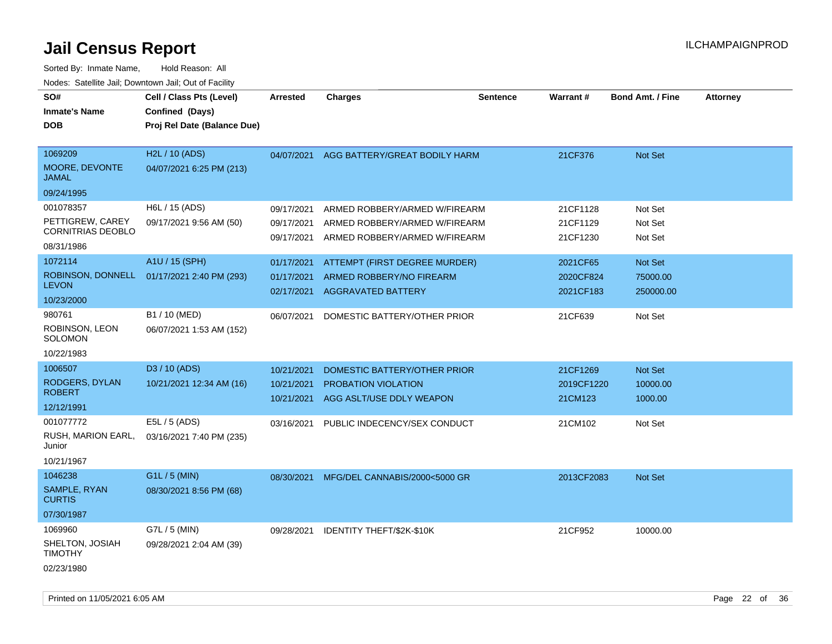| SO#<br><b>Inmate's Name</b><br><b>DOB</b>                        | Cell / Class Pts (Level)<br>Confined (Days)<br>Proj Rel Date (Balance Due) | <b>Arrested</b>                        | <b>Charges</b>                                                                                  | <b>Sentence</b> | Warrant#                           | <b>Bond Amt. / Fine</b>          | Attorney |
|------------------------------------------------------------------|----------------------------------------------------------------------------|----------------------------------------|-------------------------------------------------------------------------------------------------|-----------------|------------------------------------|----------------------------------|----------|
| 1069209<br>MOORE, DEVONTE<br><b>JAMAL</b><br>09/24/1995          | H2L / 10 (ADS)<br>04/07/2021 6:25 PM (213)                                 | 04/07/2021                             | AGG BATTERY/GREAT BODILY HARM                                                                   |                 | 21CF376                            | Not Set                          |          |
| 001078357<br>PETTIGREW, CAREY<br>CORNITRIAS DEOBLO<br>08/31/1986 | H6L / 15 (ADS)<br>09/17/2021 9:56 AM (50)                                  | 09/17/2021<br>09/17/2021<br>09/17/2021 | ARMED ROBBERY/ARMED W/FIREARM<br>ARMED ROBBERY/ARMED W/FIREARM<br>ARMED ROBBERY/ARMED W/FIREARM |                 | 21CF1128<br>21CF1129<br>21CF1230   | Not Set<br>Not Set<br>Not Set    |          |
| 1072114<br>ROBINSON, DONNELL<br><b>LEVON</b><br>10/23/2000       | A1U / 15 (SPH)<br>01/17/2021 2:40 PM (293)                                 | 01/17/2021<br>01/17/2021<br>02/17/2021 | ATTEMPT (FIRST DEGREE MURDER)<br>ARMED ROBBERY/NO FIREARM<br><b>AGGRAVATED BATTERY</b>          |                 | 2021CF65<br>2020CF824<br>2021CF183 | Not Set<br>75000.00<br>250000.00 |          |
| 980761<br>ROBINSON, LEON<br><b>SOLOMON</b><br>10/22/1983         | B1 / 10 (MED)<br>06/07/2021 1:53 AM (152)                                  | 06/07/2021                             | DOMESTIC BATTERY/OTHER PRIOR                                                                    |                 | 21CF639                            | Not Set                          |          |
| 1006507<br>RODGERS, DYLAN<br><b>ROBERT</b><br>12/12/1991         | D3 / 10 (ADS)<br>10/21/2021 12:34 AM (16)                                  | 10/21/2021<br>10/21/2021<br>10/21/2021 | DOMESTIC BATTERY/OTHER PRIOR<br>PROBATION VIOLATION<br>AGG ASLT/USE DDLY WEAPON                 |                 | 21CF1269<br>2019CF1220<br>21CM123  | Not Set<br>10000.00<br>1000.00   |          |
| 001077772<br>RUSH, MARION EARL,<br>Junior<br>10/21/1967          | E5L / 5 (ADS)<br>03/16/2021 7:40 PM (235)                                  | 03/16/2021                             | PUBLIC INDECENCY/SEX CONDUCT                                                                    |                 | 21CM102                            | Not Set                          |          |
| 1046238<br>SAMPLE, RYAN<br><b>CURTIS</b><br>07/30/1987           | G1L / 5 (MIN)<br>08/30/2021 8:56 PM (68)                                   | 08/30/2021                             | MFG/DEL CANNABIS/2000<5000 GR                                                                   |                 | 2013CF2083                         | Not Set                          |          |
| 1069960<br>SHELTON, JOSIAH<br><b>TIMOTHY</b><br>02/23/1980       | G7L / 5 (MIN)<br>09/28/2021 2:04 AM (39)                                   | 09/28/2021                             | IDENTITY THEFT/\$2K-\$10K                                                                       |                 | 21CF952                            | 10000.00                         |          |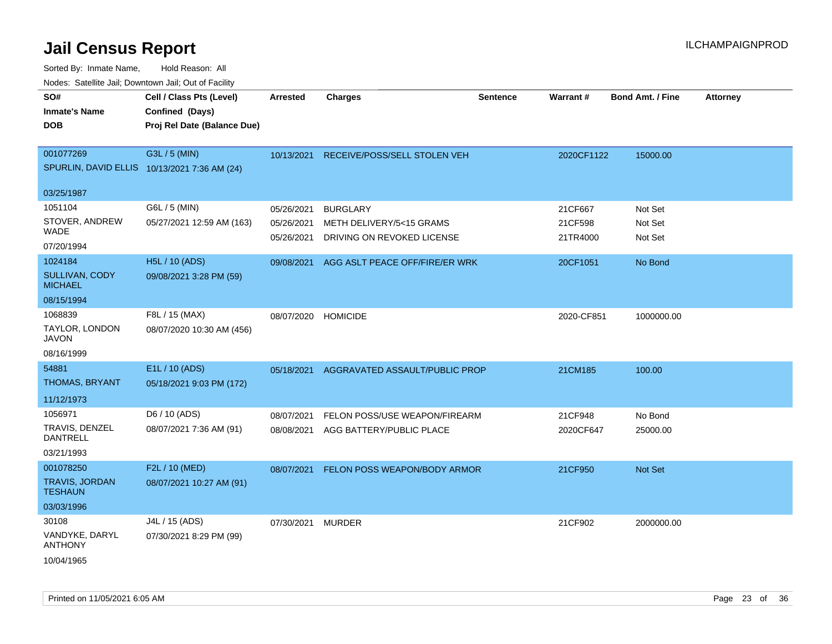| <u>Rodos.</u> Odiolino dali, Downtown dali, Odi of Fabilit              |                                                                            |                                        |                                                                           |                 |                                |                               |                 |
|-------------------------------------------------------------------------|----------------------------------------------------------------------------|----------------------------------------|---------------------------------------------------------------------------|-----------------|--------------------------------|-------------------------------|-----------------|
| SO#<br>Inmate's Name<br><b>DOB</b>                                      | Cell / Class Pts (Level)<br>Confined (Days)<br>Proj Rel Date (Balance Due) | <b>Arrested</b>                        | <b>Charges</b>                                                            | <b>Sentence</b> | Warrant#                       | <b>Bond Amt. / Fine</b>       | <b>Attorney</b> |
| 001077269<br>SPURLIN, DAVID ELLIS 10/13/2021 7:36 AM (24)               | G3L / 5 (MIN)                                                              | 10/13/2021                             | RECEIVE/POSS/SELL STOLEN VEH                                              |                 | 2020CF1122                     | 15000.00                      |                 |
| 03/25/1987                                                              |                                                                            |                                        |                                                                           |                 |                                |                               |                 |
| 1051104<br>STOVER, ANDREW<br>WADE                                       | G6L / 5 (MIN)<br>05/27/2021 12:59 AM (163)                                 | 05/26/2021<br>05/26/2021<br>05/26/2021 | <b>BURGLARY</b><br>METH DELIVERY/5<15 GRAMS<br>DRIVING ON REVOKED LICENSE |                 | 21CF667<br>21CF598<br>21TR4000 | Not Set<br>Not Set<br>Not Set |                 |
| 07/20/1994<br>1024184<br>SULLIVAN, CODY<br><b>MICHAEL</b><br>08/15/1994 | H5L / 10 (ADS)<br>09/08/2021 3:28 PM (59)                                  | 09/08/2021                             | AGG ASLT PEACE OFF/FIRE/ER WRK                                            |                 | 20CF1051                       | No Bond                       |                 |
| 1068839<br>TAYLOR, LONDON<br><b>JAVON</b><br>08/16/1999                 | F8L / 15 (MAX)<br>08/07/2020 10:30 AM (456)                                | 08/07/2020                             | <b>HOMICIDE</b>                                                           |                 | 2020-CF851                     | 1000000.00                    |                 |
| 54881<br><b>THOMAS, BRYANT</b><br>11/12/1973                            | E1L / 10 (ADS)<br>05/18/2021 9:03 PM (172)                                 | 05/18/2021                             | AGGRAVATED ASSAULT/PUBLIC PROP                                            |                 | 21CM185                        | 100.00                        |                 |
| 1056971<br>TRAVIS, DENZEL<br><b>DANTRELL</b><br>03/21/1993              | D6 / 10 (ADS)<br>08/07/2021 7:36 AM (91)                                   | 08/07/2021                             | FELON POSS/USE WEAPON/FIREARM<br>08/08/2021 AGG BATTERY/PUBLIC PLACE      |                 | 21CF948<br>2020CF647           | No Bond<br>25000.00           |                 |
| 001078250<br><b>TRAVIS, JORDAN</b><br><b>TESHAUN</b><br>03/03/1996      | F2L / 10 (MED)<br>08/07/2021 10:27 AM (91)                                 | 08/07/2021                             | FELON POSS WEAPON/BODY ARMOR                                              |                 | 21CF950                        | Not Set                       |                 |
| 30108<br>VANDYKE, DARYL<br><b>ANTHONY</b><br>10/04/1965                 | J4L / 15 (ADS)<br>07/30/2021 8:29 PM (99)                                  | 07/30/2021 MURDER                      |                                                                           |                 | 21CF902                        | 2000000.00                    |                 |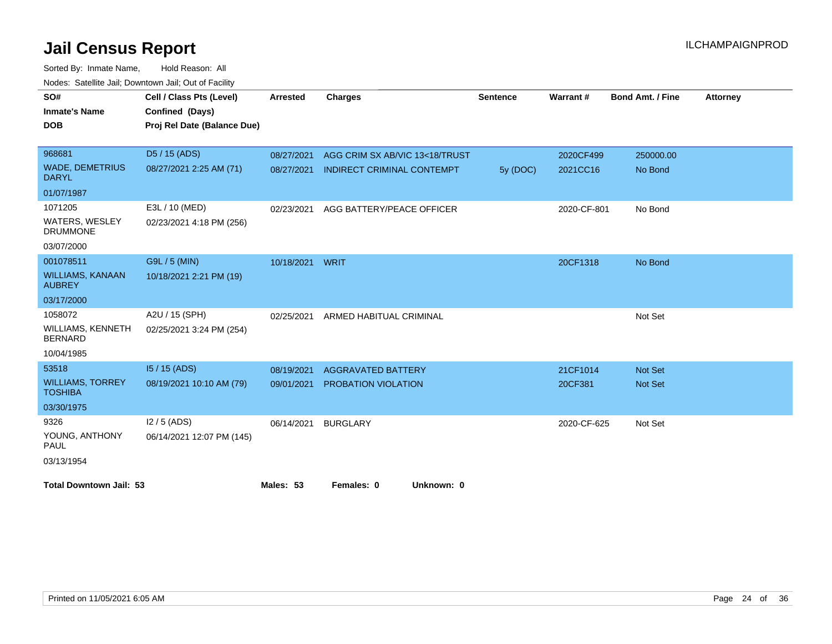| SO#                                        | Cell / Class Pts (Level)    | <b>Arrested</b> | <b>Charges</b>                    | <b>Sentence</b> | Warrant#    | <b>Bond Amt. / Fine</b> | <b>Attorney</b> |
|--------------------------------------------|-----------------------------|-----------------|-----------------------------------|-----------------|-------------|-------------------------|-----------------|
| <b>Inmate's Name</b>                       | Confined (Days)             |                 |                                   |                 |             |                         |                 |
| <b>DOB</b>                                 | Proj Rel Date (Balance Due) |                 |                                   |                 |             |                         |                 |
|                                            |                             |                 |                                   |                 |             |                         |                 |
| 968681                                     | D <sub>5</sub> / 15 (ADS)   | 08/27/2021      | AGG CRIM SX AB/VIC 13<18/TRUST    |                 | 2020CF499   | 250000.00               |                 |
| <b>WADE, DEMETRIUS</b><br><b>DARYL</b>     | 08/27/2021 2:25 AM (71)     | 08/27/2021      | <b>INDIRECT CRIMINAL CONTEMPT</b> | 5y (DOC)        | 2021CC16    | No Bond                 |                 |
| 01/07/1987                                 |                             |                 |                                   |                 |             |                         |                 |
| 1071205                                    | E3L / 10 (MED)              | 02/23/2021      | AGG BATTERY/PEACE OFFICER         |                 | 2020-CF-801 | No Bond                 |                 |
| <b>WATERS, WESLEY</b><br><b>DRUMMONE</b>   | 02/23/2021 4:18 PM (256)    |                 |                                   |                 |             |                         |                 |
| 03/07/2000                                 |                             |                 |                                   |                 |             |                         |                 |
| 001078511                                  | G9L / 5 (MIN)               | 10/18/2021      | <b>WRIT</b>                       |                 | 20CF1318    | No Bond                 |                 |
| <b>WILLIAMS, KANAAN</b><br><b>AUBREY</b>   | 10/18/2021 2:21 PM (19)     |                 |                                   |                 |             |                         |                 |
| 03/17/2000                                 |                             |                 |                                   |                 |             |                         |                 |
| 1058072                                    | A2U / 15 (SPH)              | 02/25/2021      | ARMED HABITUAL CRIMINAL           |                 |             | Not Set                 |                 |
| <b>WILLIAMS, KENNETH</b><br><b>BERNARD</b> | 02/25/2021 3:24 PM (254)    |                 |                                   |                 |             |                         |                 |
| 10/04/1985                                 |                             |                 |                                   |                 |             |                         |                 |
| 53518                                      | 15 / 15 (ADS)               | 08/19/2021      | <b>AGGRAVATED BATTERY</b>         |                 | 21CF1014    | Not Set                 |                 |
| <b>WILLIAMS, TORREY</b><br><b>TOSHIBA</b>  | 08/19/2021 10:10 AM (79)    | 09/01/2021      | PROBATION VIOLATION               |                 | 20CF381     | Not Set                 |                 |
| 03/30/1975                                 |                             |                 |                                   |                 |             |                         |                 |
| 9326                                       | $12/5$ (ADS)                | 06/14/2021      | <b>BURGLARY</b>                   |                 | 2020-CF-625 | Not Set                 |                 |
| YOUNG, ANTHONY<br><b>PAUL</b>              | 06/14/2021 12:07 PM (145)   |                 |                                   |                 |             |                         |                 |
| 03/13/1954                                 |                             |                 |                                   |                 |             |                         |                 |
| <b>Total Downtown Jail: 53</b>             |                             | Males: 53       | Females: 0<br>Unknown: 0          |                 |             |                         |                 |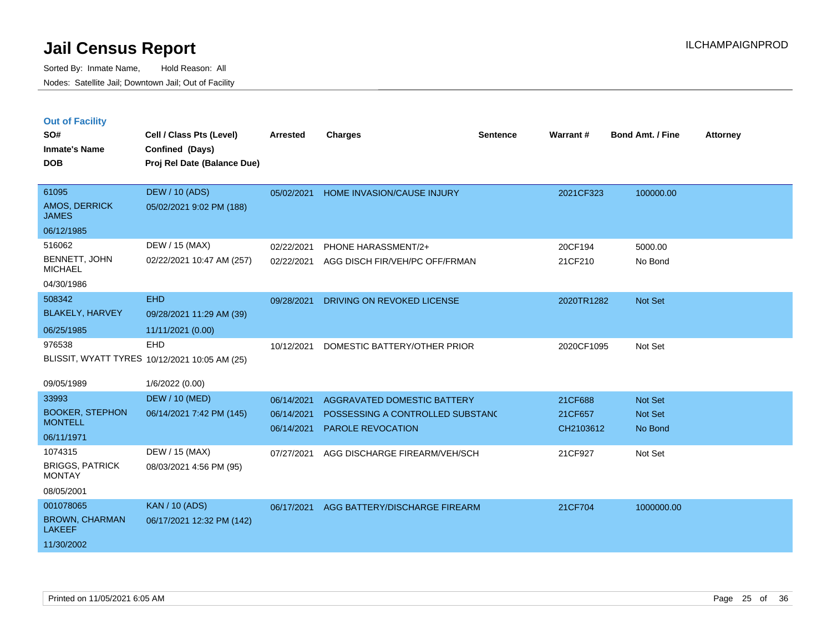|  | <b>Out of Facility</b> |  |
|--|------------------------|--|

| SO#<br><b>Inmate's Name</b><br><b>DOB</b>                         | Cell / Class Pts (Level)<br>Confined (Days)<br>Proj Rel Date (Balance Due) | <b>Arrested</b>                        | <b>Charges</b>                                                                       | <b>Sentence</b> | Warrant#                        | <b>Bond Amt. / Fine</b>              | <b>Attorney</b> |
|-------------------------------------------------------------------|----------------------------------------------------------------------------|----------------------------------------|--------------------------------------------------------------------------------------|-----------------|---------------------------------|--------------------------------------|-----------------|
| 61095<br>AMOS, DERRICK<br><b>JAMES</b><br>06/12/1985              | <b>DEW / 10 (ADS)</b><br>05/02/2021 9:02 PM (188)                          | 05/02/2021                             | HOME INVASION/CAUSE INJURY                                                           |                 | 2021CF323                       | 100000.00                            |                 |
| 516062<br>BENNETT, JOHN<br><b>MICHAEL</b><br>04/30/1986           | DEW / 15 (MAX)<br>02/22/2021 10:47 AM (257)                                | 02/22/2021<br>02/22/2021               | PHONE HARASSMENT/2+<br>AGG DISCH FIR/VEH/PC OFF/FRMAN                                |                 | 20CF194<br>21CF210              | 5000.00<br>No Bond                   |                 |
| 508342<br><b>BLAKELY, HARVEY</b><br>06/25/1985                    | <b>EHD</b><br>09/28/2021 11:29 AM (39)<br>11/11/2021 (0.00)                | 09/28/2021                             | DRIVING ON REVOKED LICENSE                                                           |                 | 2020TR1282                      | Not Set                              |                 |
| 976538<br>09/05/1989                                              | EHD<br>BLISSIT, WYATT TYRES 10/12/2021 10:05 AM (25)<br>1/6/2022 (0.00)    | 10/12/2021                             | DOMESTIC BATTERY/OTHER PRIOR                                                         |                 | 2020CF1095                      | Not Set                              |                 |
| 33993<br><b>BOOKER, STEPHON</b><br><b>MONTELL</b><br>06/11/1971   | <b>DEW / 10 (MED)</b><br>06/14/2021 7:42 PM (145)                          | 06/14/2021<br>06/14/2021<br>06/14/2021 | AGGRAVATED DOMESTIC BATTERY<br>POSSESSING A CONTROLLED SUBSTANC<br>PAROLE REVOCATION |                 | 21CF688<br>21CF657<br>CH2103612 | Not Set<br><b>Not Set</b><br>No Bond |                 |
| 1074315<br><b>BRIGGS, PATRICK</b><br><b>MONTAY</b><br>08/05/2001  | DEW / 15 (MAX)<br>08/03/2021 4:56 PM (95)                                  | 07/27/2021                             | AGG DISCHARGE FIREARM/VEH/SCH                                                        |                 | 21CF927                         | Not Set                              |                 |
| 001078065<br><b>BROWN, CHARMAN</b><br><b>LAKEEF</b><br>11/30/2002 | <b>KAN / 10 (ADS)</b><br>06/17/2021 12:32 PM (142)                         | 06/17/2021                             | AGG BATTERY/DISCHARGE FIREARM                                                        |                 | 21CF704                         | 1000000.00                           |                 |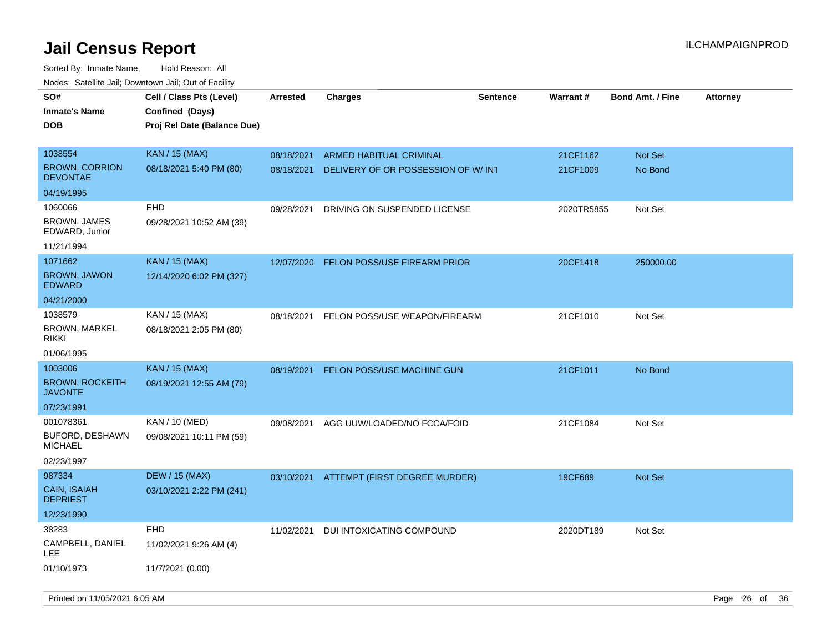| rougs. Calcing Jan, Downtown Jan, Out of Facility |                             |                 |                                          |                 |                 |                         |                 |
|---------------------------------------------------|-----------------------------|-----------------|------------------------------------------|-----------------|-----------------|-------------------------|-----------------|
| SO#                                               | Cell / Class Pts (Level)    | <b>Arrested</b> | Charges                                  | <b>Sentence</b> | <b>Warrant#</b> | <b>Bond Amt. / Fine</b> | <b>Attorney</b> |
| <b>Inmate's Name</b>                              | Confined (Days)             |                 |                                          |                 |                 |                         |                 |
| <b>DOB</b>                                        | Proj Rel Date (Balance Due) |                 |                                          |                 |                 |                         |                 |
|                                                   |                             |                 |                                          |                 |                 |                         |                 |
| 1038554                                           | <b>KAN / 15 (MAX)</b>       | 08/18/2021      | <b>ARMED HABITUAL CRIMINAL</b>           |                 | 21CF1162        | Not Set                 |                 |
| <b>BROWN, CORRION</b><br><b>DEVONTAE</b>          | 08/18/2021 5:40 PM (80)     | 08/18/2021      | DELIVERY OF OR POSSESSION OF W/INT       |                 | 21CF1009        | No Bond                 |                 |
| 04/19/1995                                        |                             |                 |                                          |                 |                 |                         |                 |
| 1060066                                           | EHD                         | 09/28/2021      | DRIVING ON SUSPENDED LICENSE             |                 | 2020TR5855      | Not Set                 |                 |
| <b>BROWN, JAMES</b><br>EDWARD, Junior             | 09/28/2021 10:52 AM (39)    |                 |                                          |                 |                 |                         |                 |
| 11/21/1994                                        |                             |                 |                                          |                 |                 |                         |                 |
| 1071662                                           | <b>KAN / 15 (MAX)</b>       | 12/07/2020      | FELON POSS/USE FIREARM PRIOR             |                 | 20CF1418        | 250000.00               |                 |
| <b>BROWN, JAWON</b><br><b>EDWARD</b>              | 12/14/2020 6:02 PM (327)    |                 |                                          |                 |                 |                         |                 |
| 04/21/2000                                        |                             |                 |                                          |                 |                 |                         |                 |
| 1038579                                           | KAN / 15 (MAX)              | 08/18/2021      | FELON POSS/USE WEAPON/FIREARM            |                 | 21CF1010        | Not Set                 |                 |
| <b>BROWN, MARKEL</b><br>rikki                     | 08/18/2021 2:05 PM (80)     |                 |                                          |                 |                 |                         |                 |
| 01/06/1995                                        |                             |                 |                                          |                 |                 |                         |                 |
| 1003006                                           | <b>KAN / 15 (MAX)</b>       | 08/19/2021      | FELON POSS/USE MACHINE GUN               |                 | 21CF1011        | No Bond                 |                 |
| <b>BROWN, ROCKEITH</b><br><b>JAVONTE</b>          | 08/19/2021 12:55 AM (79)    |                 |                                          |                 |                 |                         |                 |
| 07/23/1991                                        |                             |                 |                                          |                 |                 |                         |                 |
| 001078361                                         | KAN / 10 (MED)              | 09/08/2021      | AGG UUW/LOADED/NO FCCA/FOID              |                 | 21CF1084        | Not Set                 |                 |
| <b>BUFORD, DESHAWN</b><br>MICHAEL                 | 09/08/2021 10:11 PM (59)    |                 |                                          |                 |                 |                         |                 |
| 02/23/1997                                        |                             |                 |                                          |                 |                 |                         |                 |
| 987334                                            | <b>DEW / 15 (MAX)</b>       |                 | 03/10/2021 ATTEMPT (FIRST DEGREE MURDER) |                 | 19CF689         | Not Set                 |                 |
| <b>CAIN, ISAIAH</b><br><b>DEPRIEST</b>            | 03/10/2021 2:22 PM (241)    |                 |                                          |                 |                 |                         |                 |
| 12/23/1990                                        |                             |                 |                                          |                 |                 |                         |                 |
| 38283                                             | <b>EHD</b>                  | 11/02/2021      | DUI INTOXICATING COMPOUND                |                 | 2020DT189       | Not Set                 |                 |
| CAMPBELL, DANIEL<br>LEE.                          | 11/02/2021 9:26 AM (4)      |                 |                                          |                 |                 |                         |                 |
| 01/10/1973                                        | 11/7/2021 (0.00)            |                 |                                          |                 |                 |                         |                 |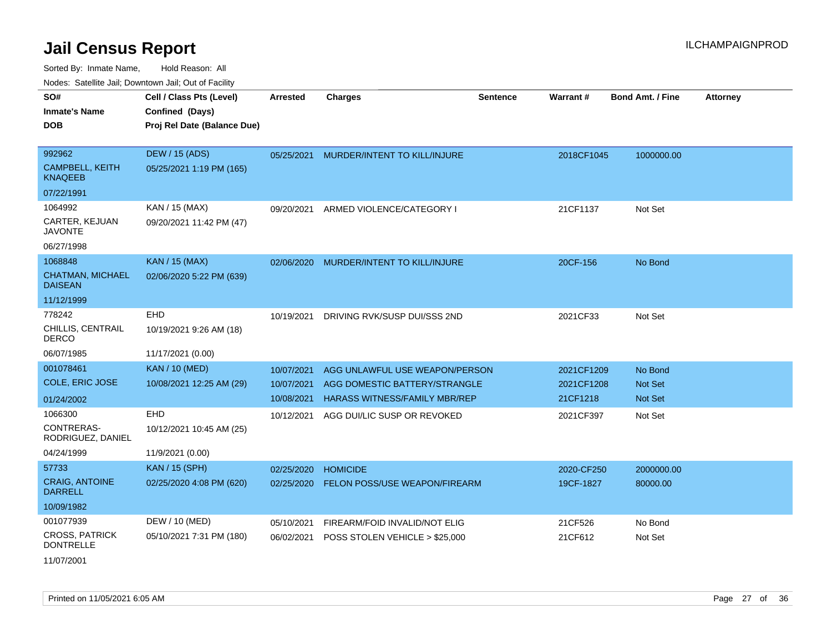Sorted By: Inmate Name, Hold Reason: All Nodes: Satellite Jail; Downtown Jail; Out of Facility

| Noucs. Calcillic Jail, Downtown Jail, Out of Facility |                             |                 |                                      |                 |                 |                         |                 |
|-------------------------------------------------------|-----------------------------|-----------------|--------------------------------------|-----------------|-----------------|-------------------------|-----------------|
| SO#                                                   | Cell / Class Pts (Level)    | <b>Arrested</b> | <b>Charges</b>                       | <b>Sentence</b> | <b>Warrant#</b> | <b>Bond Amt. / Fine</b> | <b>Attorney</b> |
| <b>Inmate's Name</b>                                  | Confined (Days)             |                 |                                      |                 |                 |                         |                 |
| <b>DOB</b>                                            | Proj Rel Date (Balance Due) |                 |                                      |                 |                 |                         |                 |
|                                                       |                             |                 |                                      |                 |                 |                         |                 |
| 992962                                                | DEW / 15 (ADS)              | 05/25/2021      | MURDER/INTENT TO KILL/INJURE         |                 | 2018CF1045      | 1000000.00              |                 |
| <b>CAMPBELL, KEITH</b><br><b>KNAQEEB</b>              | 05/25/2021 1:19 PM (165)    |                 |                                      |                 |                 |                         |                 |
| 07/22/1991                                            |                             |                 |                                      |                 |                 |                         |                 |
| 1064992                                               | KAN / 15 (MAX)              | 09/20/2021      | ARMED VIOLENCE/CATEGORY I            |                 | 21CF1137        | Not Set                 |                 |
| CARTER, KEJUAN<br><b>JAVONTE</b>                      | 09/20/2021 11:42 PM (47)    |                 |                                      |                 |                 |                         |                 |
| 06/27/1998                                            |                             |                 |                                      |                 |                 |                         |                 |
| 1068848                                               | <b>KAN / 15 (MAX)</b>       | 02/06/2020      | MURDER/INTENT TO KILL/INJURE         |                 | 20CF-156        | No Bond                 |                 |
| <b>CHATMAN, MICHAEL</b><br><b>DAISEAN</b>             | 02/06/2020 5:22 PM (639)    |                 |                                      |                 |                 |                         |                 |
| 11/12/1999                                            |                             |                 |                                      |                 |                 |                         |                 |
| 778242                                                | EHD                         | 10/19/2021      | DRIVING RVK/SUSP DUI/SSS 2ND         |                 | 2021CF33        | Not Set                 |                 |
| CHILLIS, CENTRAIL<br><b>DERCO</b>                     | 10/19/2021 9:26 AM (18)     |                 |                                      |                 |                 |                         |                 |
| 06/07/1985                                            | 11/17/2021 (0.00)           |                 |                                      |                 |                 |                         |                 |
| 001078461                                             | <b>KAN / 10 (MED)</b>       | 10/07/2021      | AGG UNLAWFUL USE WEAPON/PERSON       |                 | 2021CF1209      | No Bond                 |                 |
| <b>COLE, ERIC JOSE</b>                                | 10/08/2021 12:25 AM (29)    | 10/07/2021      | AGG DOMESTIC BATTERY/STRANGLE        |                 | 2021CF1208      | Not Set                 |                 |
| 01/24/2002                                            |                             | 10/08/2021      | <b>HARASS WITNESS/FAMILY MBR/REP</b> |                 | 21CF1218        | <b>Not Set</b>          |                 |
| 1066300                                               | <b>EHD</b>                  | 10/12/2021      | AGG DUI/LIC SUSP OR REVOKED          |                 | 2021CF397       | Not Set                 |                 |
| CONTRERAS-<br>RODRIGUEZ, DANIEL                       | 10/12/2021 10:45 AM (25)    |                 |                                      |                 |                 |                         |                 |
| 04/24/1999                                            | 11/9/2021 (0.00)            |                 |                                      |                 |                 |                         |                 |
| 57733                                                 | <b>KAN / 15 (SPH)</b>       | 02/25/2020      | <b>HOMICIDE</b>                      |                 | 2020-CF250      | 2000000.00              |                 |
| <b>CRAIG, ANTOINE</b><br><b>DARRELL</b>               | 02/25/2020 4:08 PM (620)    | 02/25/2020      | FELON POSS/USE WEAPON/FIREARM        |                 | 19CF-1827       | 80000.00                |                 |
| 10/09/1982                                            |                             |                 |                                      |                 |                 |                         |                 |
| 001077939                                             | DEW / 10 (MED)              | 05/10/2021      | FIREARM/FOID INVALID/NOT ELIG        |                 | 21CF526         | No Bond                 |                 |
| <b>CROSS, PATRICK</b><br><b>DONTRELLE</b>             | 05/10/2021 7:31 PM (180)    | 06/02/2021      | POSS STOLEN VEHICLE > \$25,000       |                 | 21CF612         | Not Set                 |                 |
| 11/07/2001                                            |                             |                 |                                      |                 |                 |                         |                 |

Printed on 11/05/2021 6:05 AM Page 27 of 36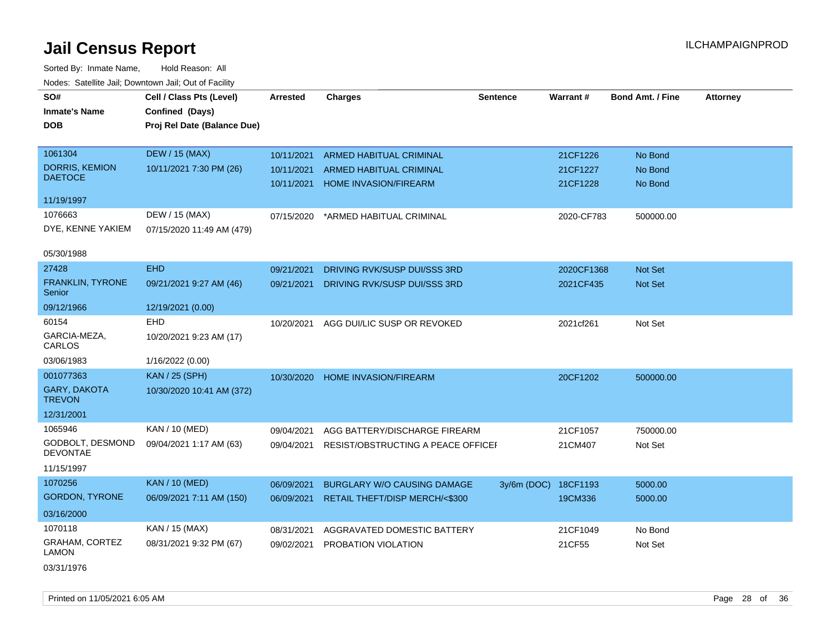| SO#                                  | Cell / Class Pts (Level)    | <b>Arrested</b> | <b>Charges</b>                           | <b>Sentence</b> | Warrant#   | <b>Bond Amt. / Fine</b> | <b>Attorney</b> |
|--------------------------------------|-----------------------------|-----------------|------------------------------------------|-----------------|------------|-------------------------|-----------------|
| <b>Inmate's Name</b>                 | Confined (Days)             |                 |                                          |                 |            |                         |                 |
| <b>DOB</b>                           | Proj Rel Date (Balance Due) |                 |                                          |                 |            |                         |                 |
|                                      |                             |                 |                                          |                 |            |                         |                 |
| 1061304                              | <b>DEW / 15 (MAX)</b>       | 10/11/2021      | <b>ARMED HABITUAL CRIMINAL</b>           |                 | 21CF1226   | No Bond                 |                 |
| <b>DORRIS, KEMION</b>                | 10/11/2021 7:30 PM (26)     | 10/11/2021      | ARMED HABITUAL CRIMINAL                  |                 | 21CF1227   | No Bond                 |                 |
| <b>DAETOCE</b>                       |                             | 10/11/2021      | <b>HOME INVASION/FIREARM</b>             |                 | 21CF1228   | No Bond                 |                 |
| 11/19/1997                           |                             |                 |                                          |                 |            |                         |                 |
| 1076663                              | DEW / 15 (MAX)              | 07/15/2020      | *ARMED HABITUAL CRIMINAL                 |                 | 2020-CF783 | 500000.00               |                 |
| DYE, KENNE YAKIEM                    | 07/15/2020 11:49 AM (479)   |                 |                                          |                 |            |                         |                 |
|                                      |                             |                 |                                          |                 |            |                         |                 |
| 05/30/1988                           |                             |                 |                                          |                 |            |                         |                 |
| 27428                                | <b>EHD</b>                  | 09/21/2021      | DRIVING RVK/SUSP DUI/SSS 3RD             |                 | 2020CF1368 | Not Set                 |                 |
| FRANKLIN, TYRONE<br>Senior           | 09/21/2021 9:27 AM (46)     | 09/21/2021      | DRIVING RVK/SUSP DUI/SSS 3RD             |                 | 2021CF435  | Not Set                 |                 |
| 09/12/1966                           | 12/19/2021 (0.00)           |                 |                                          |                 |            |                         |                 |
| 60154                                | <b>EHD</b>                  | 10/20/2021      | AGG DUI/LIC SUSP OR REVOKED              |                 | 2021cf261  | Not Set                 |                 |
| GARCIA-MEZA,<br>CARLOS               | 10/20/2021 9:23 AM (17)     |                 |                                          |                 |            |                         |                 |
| 03/06/1983                           | 1/16/2022 (0.00)            |                 |                                          |                 |            |                         |                 |
| 001077363                            | <b>KAN / 25 (SPH)</b>       | 10/30/2020      | HOME INVASION/FIREARM                    |                 | 20CF1202   | 500000.00               |                 |
| <b>GARY, DAKOTA</b><br><b>TREVON</b> | 10/30/2020 10:41 AM (372)   |                 |                                          |                 |            |                         |                 |
| 12/31/2001                           |                             |                 |                                          |                 |            |                         |                 |
| 1065946                              | KAN / 10 (MED)              | 09/04/2021      | AGG BATTERY/DISCHARGE FIREARM            |                 | 21CF1057   | 750000.00               |                 |
| GODBOLT, DESMOND<br><b>DEVONTAE</b>  | 09/04/2021 1:17 AM (63)     | 09/04/2021      | RESIST/OBSTRUCTING A PEACE OFFICEF       |                 | 21CM407    | Not Set                 |                 |
| 11/15/1997                           |                             |                 |                                          |                 |            |                         |                 |
| 1070256                              | <b>KAN / 10 (MED)</b>       | 06/09/2021      | <b>BURGLARY W/O CAUSING DAMAGE</b>       | $3y/6m$ (DOC)   | 18CF1193   | 5000.00                 |                 |
| <b>GORDON, TYRONE</b>                | 06/09/2021 7:11 AM (150)    | 06/09/2021      | <b>RETAIL THEFT/DISP MERCH/&lt;\$300</b> |                 | 19CM336    | 5000.00                 |                 |
| 03/16/2000                           |                             |                 |                                          |                 |            |                         |                 |
| 1070118                              | KAN / 15 (MAX)              | 08/31/2021      | AGGRAVATED DOMESTIC BATTERY              |                 | 21CF1049   | No Bond                 |                 |
| GRAHAM, CORTEZ<br>LAMON              | 08/31/2021 9:32 PM (67)     | 09/02/2021      | PROBATION VIOLATION                      |                 | 21CF55     | Not Set                 |                 |
| 03/31/1976                           |                             |                 |                                          |                 |            |                         |                 |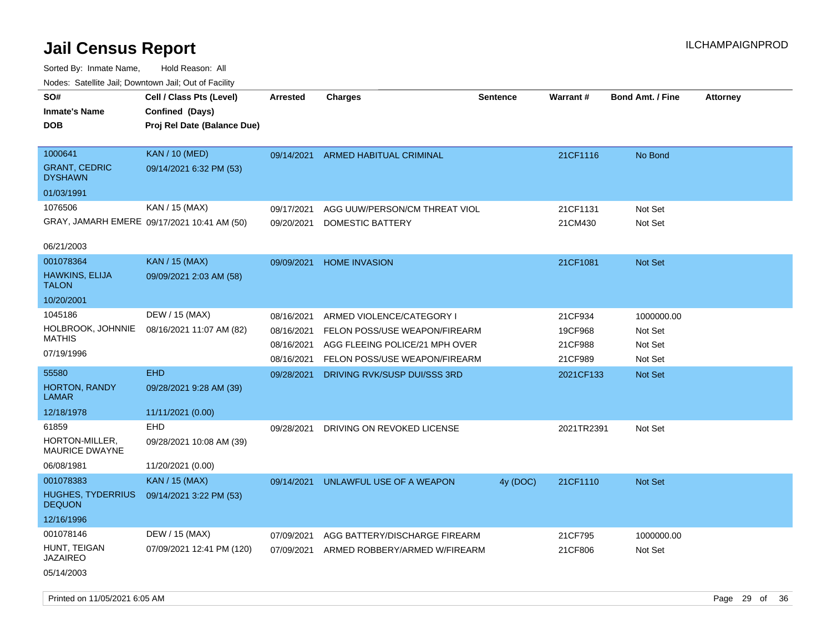Sorted By: Inmate Name, Hold Reason: All Nodes: Satellite Jail; Downtown Jail; Out of Facility

| SO#<br><b>Inmate's Name</b><br><b>DOB</b>  | Cell / Class Pts (Level)<br>Confined (Days)<br>Proj Rel Date (Balance Due) | <b>Arrested</b> | <b>Charges</b>                 | <b>Sentence</b> | Warrant#   | <b>Bond Amt. / Fine</b> | <b>Attorney</b> |
|--------------------------------------------|----------------------------------------------------------------------------|-----------------|--------------------------------|-----------------|------------|-------------------------|-----------------|
| 1000641<br><b>GRANT, CEDRIC</b><br>DYSHAWN | <b>KAN / 10 (MED)</b><br>09/14/2021 6:32 PM (53)                           | 09/14/2021      | <b>ARMED HABITUAL CRIMINAL</b> |                 | 21CF1116   | No Bond                 |                 |
| 01/03/1991                                 |                                                                            |                 |                                |                 |            |                         |                 |
| 1076506                                    | KAN / 15 (MAX)                                                             | 09/17/2021      | AGG UUW/PERSON/CM THREAT VIOL  |                 | 21CF1131   | Not Set                 |                 |
|                                            | GRAY, JAMARH EMERE 09/17/2021 10:41 AM (50)                                | 09/20/2021      | <b>DOMESTIC BATTERY</b>        |                 | 21CM430    | Not Set                 |                 |
| 06/21/2003                                 |                                                                            |                 |                                |                 |            |                         |                 |
| 001078364                                  | <b>KAN / 15 (MAX)</b>                                                      | 09/09/2021      | <b>HOME INVASION</b>           |                 | 21CF1081   | <b>Not Set</b>          |                 |
| HAWKINS, ELIJA<br><b>TALON</b>             | 09/09/2021 2:03 AM (58)                                                    |                 |                                |                 |            |                         |                 |
| 10/20/2001                                 |                                                                            |                 |                                |                 |            |                         |                 |
| 1045186                                    | DEW / 15 (MAX)                                                             | 08/16/2021      | ARMED VIOLENCE/CATEGORY I      |                 | 21CF934    | 1000000.00              |                 |
| HOLBROOK, JOHNNIE                          | 08/16/2021 11:07 AM (82)                                                   | 08/16/2021      | FELON POSS/USE WEAPON/FIREARM  |                 | 19CF968    | Not Set                 |                 |
| <b>MATHIS</b>                              |                                                                            | 08/16/2021      | AGG FLEEING POLICE/21 MPH OVER |                 | 21CF988    | Not Set                 |                 |
| 07/19/1996                                 |                                                                            | 08/16/2021      | FELON POSS/USE WEAPON/FIREARM  |                 | 21CF989    | Not Set                 |                 |
| 55580                                      | <b>EHD</b>                                                                 | 09/28/2021      | DRIVING RVK/SUSP DUI/SSS 3RD   |                 | 2021CF133  | <b>Not Set</b>          |                 |
| HORTON, RANDY<br>LAMAR                     | 09/28/2021 9:28 AM (39)                                                    |                 |                                |                 |            |                         |                 |
| 12/18/1978                                 | 11/11/2021 (0.00)                                                          |                 |                                |                 |            |                         |                 |
| 61859                                      | <b>EHD</b>                                                                 | 09/28/2021      | DRIVING ON REVOKED LICENSE     |                 | 2021TR2391 | Not Set                 |                 |
| HORTON-MILLER,<br><b>MAURICE DWAYNE</b>    | 09/28/2021 10:08 AM (39)                                                   |                 |                                |                 |            |                         |                 |
| 06/08/1981                                 | 11/20/2021 (0.00)                                                          |                 |                                |                 |            |                         |                 |
| 001078383                                  | KAN / 15 (MAX)                                                             | 09/14/2021      | UNLAWFUL USE OF A WEAPON       | 4y (DOC)        | 21CF1110   | <b>Not Set</b>          |                 |
| <b>HUGHES, TYDERRIUS</b><br><b>DEQUON</b>  | 09/14/2021 3:22 PM (53)                                                    |                 |                                |                 |            |                         |                 |
| 12/16/1996                                 |                                                                            |                 |                                |                 |            |                         |                 |
| 001078146                                  | DEW / 15 (MAX)                                                             | 07/09/2021      | AGG BATTERY/DISCHARGE FIREARM  |                 | 21CF795    | 1000000.00              |                 |
| HUNT, TEIGAN<br>JAZAIREO                   | 07/09/2021 12:41 PM (120)                                                  | 07/09/2021      | ARMED ROBBERY/ARMED W/FIREARM  |                 | 21CF806    | Not Set                 |                 |
| 05/14/2003                                 |                                                                            |                 |                                |                 |            |                         |                 |

Printed on 11/05/2021 6:05 AM **Page 29 of 36**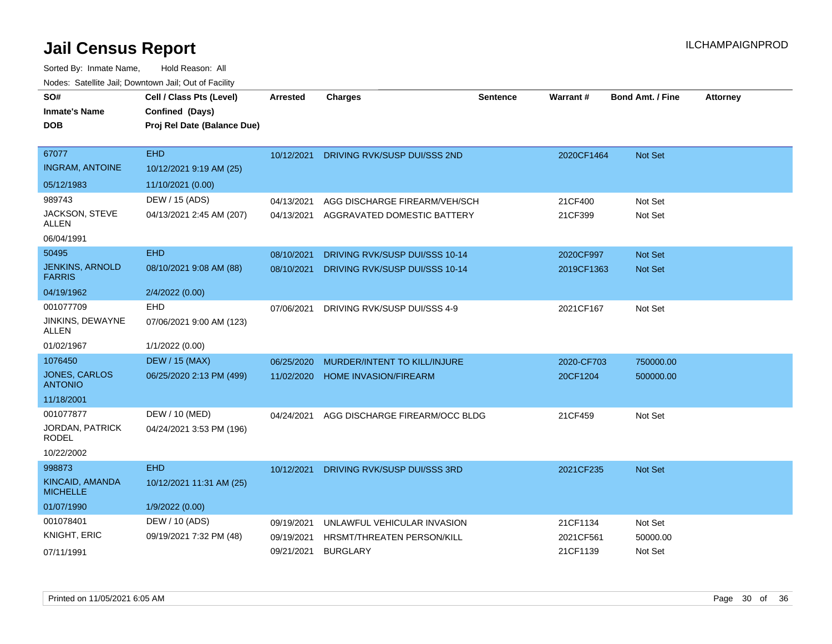| SO#                                       | Cell / Class Pts (Level)    | Arrested   | <b>Charges</b>                 | <b>Sentence</b> | Warrant#   | <b>Bond Amt. / Fine</b> | <b>Attorney</b> |
|-------------------------------------------|-----------------------------|------------|--------------------------------|-----------------|------------|-------------------------|-----------------|
| <b>Inmate's Name</b>                      | Confined (Days)             |            |                                |                 |            |                         |                 |
| <b>DOB</b>                                | Proj Rel Date (Balance Due) |            |                                |                 |            |                         |                 |
|                                           |                             |            |                                |                 |            |                         |                 |
| 67077                                     | <b>EHD</b>                  | 10/12/2021 | DRIVING RVK/SUSP DUI/SSS 2ND   |                 | 2020CF1464 | Not Set                 |                 |
| <b>INGRAM, ANTOINE</b>                    | 10/12/2021 9:19 AM (25)     |            |                                |                 |            |                         |                 |
| 05/12/1983                                | 11/10/2021 (0.00)           |            |                                |                 |            |                         |                 |
| 989743                                    | DEW / 15 (ADS)              | 04/13/2021 | AGG DISCHARGE FIREARM/VEH/SCH  |                 | 21CF400    | Not Set                 |                 |
| JACKSON, STEVE<br><b>ALLEN</b>            | 04/13/2021 2:45 AM (207)    | 04/13/2021 | AGGRAVATED DOMESTIC BATTERY    |                 | 21CF399    | Not Set                 |                 |
| 06/04/1991                                |                             |            |                                |                 |            |                         |                 |
| 50495                                     | <b>EHD</b>                  | 08/10/2021 | DRIVING RVK/SUSP DUI/SSS 10-14 |                 | 2020CF997  | <b>Not Set</b>          |                 |
| <b>JENKINS, ARNOLD</b><br><b>FARRIS</b>   | 08/10/2021 9:08 AM (88)     | 08/10/2021 | DRIVING RVK/SUSP DUI/SSS 10-14 |                 | 2019CF1363 | <b>Not Set</b>          |                 |
| 04/19/1962                                | 2/4/2022 (0.00)             |            |                                |                 |            |                         |                 |
| 001077709                                 | <b>EHD</b>                  | 07/06/2021 | DRIVING RVK/SUSP DUI/SSS 4-9   |                 | 2021CF167  | Not Set                 |                 |
| JINKINS, DEWAYNE<br><b>ALLEN</b>          | 07/06/2021 9:00 AM (123)    |            |                                |                 |            |                         |                 |
| 01/02/1967                                | 1/1/2022 (0.00)             |            |                                |                 |            |                         |                 |
| 1076450                                   | <b>DEW / 15 (MAX)</b>       | 06/25/2020 | MURDER/INTENT TO KILL/INJURE   |                 | 2020-CF703 | 750000.00               |                 |
| <b>JONES, CARLOS</b><br><b>ANTONIO</b>    | 06/25/2020 2:13 PM (499)    | 11/02/2020 | <b>HOME INVASION/FIREARM</b>   |                 | 20CF1204   | 500000.00               |                 |
| 11/18/2001                                |                             |            |                                |                 |            |                         |                 |
| 001077877                                 | DEW / 10 (MED)              | 04/24/2021 | AGG DISCHARGE FIREARM/OCC BLDG |                 | 21CF459    | Not Set                 |                 |
| JORDAN, PATRICK<br><b>RODEL</b>           | 04/24/2021 3:53 PM (196)    |            |                                |                 |            |                         |                 |
| 10/22/2002                                |                             |            |                                |                 |            |                         |                 |
| 998873                                    | <b>EHD</b>                  | 10/12/2021 | DRIVING RVK/SUSP DUI/SSS 3RD   |                 | 2021CF235  | <b>Not Set</b>          |                 |
| <b>KINCAID, AMANDA</b><br><b>MICHELLE</b> | 10/12/2021 11:31 AM (25)    |            |                                |                 |            |                         |                 |
| 01/07/1990                                | 1/9/2022 (0.00)             |            |                                |                 |            |                         |                 |
| 001078401                                 | DEW / 10 (ADS)              | 09/19/2021 | UNLAWFUL VEHICULAR INVASION    |                 | 21CF1134   | Not Set                 |                 |
| KNIGHT, ERIC                              | 09/19/2021 7:32 PM (48)     | 09/19/2021 | HRSMT/THREATEN PERSON/KILL     |                 | 2021CF561  | 50000.00                |                 |
| 07/11/1991                                |                             | 09/21/2021 | <b>BURGLARY</b>                |                 | 21CF1139   | Not Set                 |                 |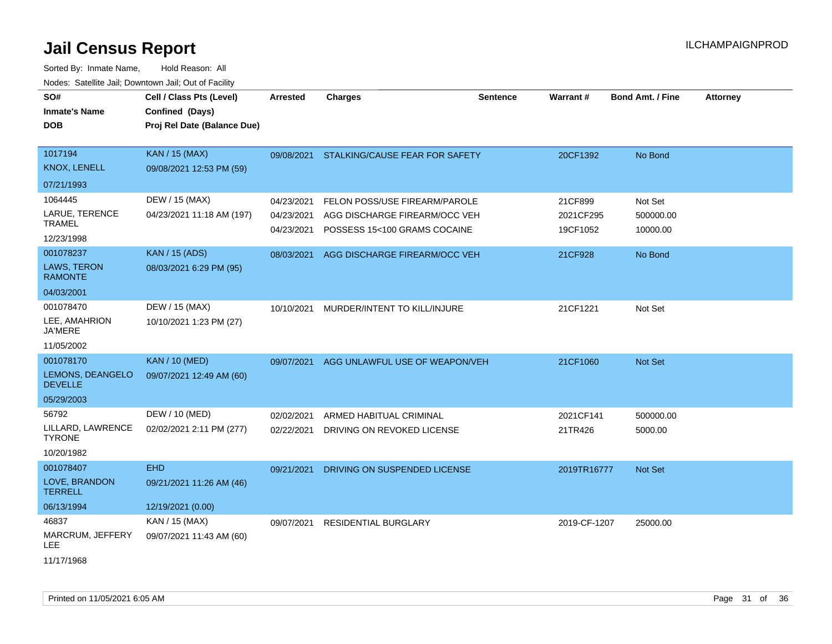| SO#                                | Cell / Class Pts (Level)    | <b>Arrested</b> | <b>Charges</b>                            | <b>Sentence</b> | Warrant#     | <b>Bond Amt. / Fine</b> | <b>Attorney</b> |
|------------------------------------|-----------------------------|-----------------|-------------------------------------------|-----------------|--------------|-------------------------|-----------------|
| <b>Inmate's Name</b>               | Confined (Days)             |                 |                                           |                 |              |                         |                 |
| <b>DOB</b>                         | Proj Rel Date (Balance Due) |                 |                                           |                 |              |                         |                 |
| 1017194                            | <b>KAN / 15 (MAX)</b>       |                 | 09/08/2021 STALKING/CAUSE FEAR FOR SAFETY |                 | 20CF1392     | No Bond                 |                 |
| <b>KNOX, LENELL</b>                | 09/08/2021 12:53 PM (59)    |                 |                                           |                 |              |                         |                 |
| 07/21/1993                         |                             |                 |                                           |                 |              |                         |                 |
| 1064445                            | DEW / 15 (MAX)              | 04/23/2021      | FELON POSS/USE FIREARM/PAROLE             |                 | 21CF899      | Not Set                 |                 |
| LARUE, TERENCE<br><b>TRAMEL</b>    | 04/23/2021 11:18 AM (197)   | 04/23/2021      | AGG DISCHARGE FIREARM/OCC VEH             |                 | 2021CF295    | 500000.00               |                 |
| 12/23/1998                         |                             | 04/23/2021      | POSSESS 15<100 GRAMS COCAINE              |                 | 19CF1052     | 10000.00                |                 |
| 001078237                          | <b>KAN / 15 (ADS)</b>       | 08/03/2021      | AGG DISCHARGE FIREARM/OCC VEH             |                 | 21CF928      | No Bond                 |                 |
| LAWS, TERON<br><b>RAMONTE</b>      | 08/03/2021 6:29 PM (95)     |                 |                                           |                 |              |                         |                 |
| 04/03/2001                         |                             |                 |                                           |                 |              |                         |                 |
| 001078470                          | DEW / 15 (MAX)              | 10/10/2021      | MURDER/INTENT TO KILL/INJURE              |                 | 21CF1221     | Not Set                 |                 |
| LEE, AMAHRION<br><b>JA'MERE</b>    | 10/10/2021 1:23 PM (27)     |                 |                                           |                 |              |                         |                 |
| 11/05/2002                         |                             |                 |                                           |                 |              |                         |                 |
| 001078170                          | <b>KAN / 10 (MED)</b>       | 09/07/2021      | AGG UNLAWFUL USE OF WEAPON/VEH            |                 | 21CF1060     | Not Set                 |                 |
| LEMONS, DEANGELO<br><b>DEVELLE</b> | 09/07/2021 12:49 AM (60)    |                 |                                           |                 |              |                         |                 |
| 05/29/2003                         |                             |                 |                                           |                 |              |                         |                 |
| 56792                              | DEW / 10 (MED)              | 02/02/2021      | ARMED HABITUAL CRIMINAL                   |                 | 2021CF141    | 500000.00               |                 |
| LILLARD, LAWRENCE<br><b>TYRONE</b> | 02/02/2021 2:11 PM (277)    | 02/22/2021      | DRIVING ON REVOKED LICENSE                |                 | 21TR426      | 5000.00                 |                 |
| 10/20/1982                         |                             |                 |                                           |                 |              |                         |                 |
| 001078407                          | <b>EHD</b>                  | 09/21/2021      | DRIVING ON SUSPENDED LICENSE              |                 | 2019TR16777  | Not Set                 |                 |
| LOVE, BRANDON<br><b>TERRELL</b>    | 09/21/2021 11:26 AM (46)    |                 |                                           |                 |              |                         |                 |
| 06/13/1994                         | 12/19/2021 (0.00)           |                 |                                           |                 |              |                         |                 |
| 46837                              | KAN / 15 (MAX)              | 09/07/2021      | <b>RESIDENTIAL BURGLARY</b>               |                 | 2019-CF-1207 | 25000.00                |                 |
| MARCRUM, JEFFERY<br>LEE            | 09/07/2021 11:43 AM (60)    |                 |                                           |                 |              |                         |                 |
| 11/17/1968                         |                             |                 |                                           |                 |              |                         |                 |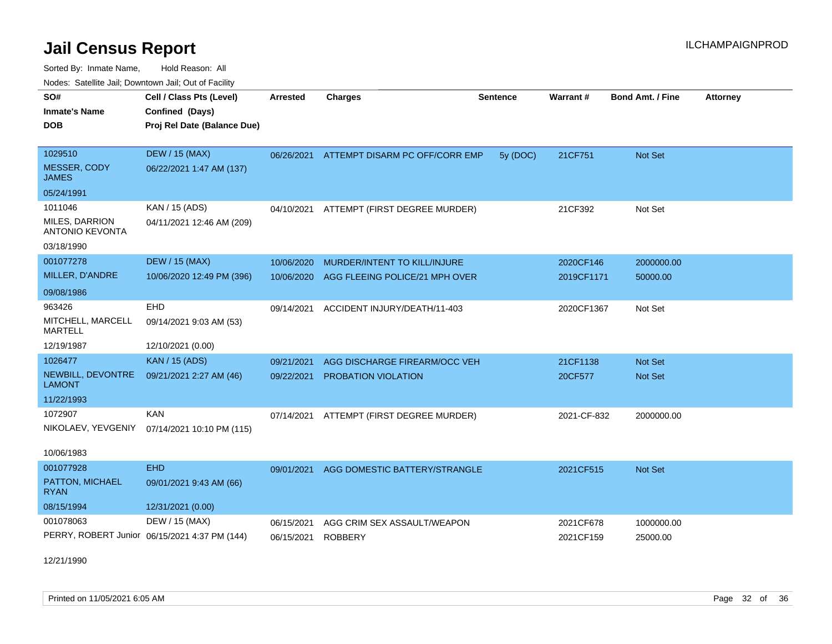Sorted By: Inmate Name, Hold Reason: All Nodes: Satellite Jail; Downtown Jail; Out of Facility

| roacs. Catellite Jall, Downtown Jall, Out of Facility |                                               |                 |                                           |                 |             |                         |                 |
|-------------------------------------------------------|-----------------------------------------------|-----------------|-------------------------------------------|-----------------|-------------|-------------------------|-----------------|
| SO#                                                   | Cell / Class Pts (Level)                      | <b>Arrested</b> | <b>Charges</b>                            | <b>Sentence</b> | Warrant#    | <b>Bond Amt. / Fine</b> | <b>Attorney</b> |
| <b>Inmate's Name</b>                                  | Confined (Days)                               |                 |                                           |                 |             |                         |                 |
| <b>DOB</b>                                            | Proj Rel Date (Balance Due)                   |                 |                                           |                 |             |                         |                 |
|                                                       |                                               |                 |                                           |                 |             |                         |                 |
| 1029510                                               | <b>DEW / 15 (MAX)</b>                         |                 | 06/26/2021 ATTEMPT DISARM PC OFF/CORR EMP | 5y (DOC)        | 21CF751     | Not Set                 |                 |
| MESSER, CODY<br><b>JAMES</b>                          | 06/22/2021 1:47 AM (137)                      |                 |                                           |                 |             |                         |                 |
| 05/24/1991                                            |                                               |                 |                                           |                 |             |                         |                 |
| 1011046                                               | KAN / 15 (ADS)                                |                 | 04/10/2021 ATTEMPT (FIRST DEGREE MURDER)  |                 | 21CF392     | Not Set                 |                 |
| MILES, DARRION<br><b>ANTONIO KEVONTA</b>              | 04/11/2021 12:46 AM (209)                     |                 |                                           |                 |             |                         |                 |
| 03/18/1990                                            |                                               |                 |                                           |                 |             |                         |                 |
| 001077278                                             | <b>DEW / 15 (MAX)</b>                         | 10/06/2020      | MURDER/INTENT TO KILL/INJURE              |                 | 2020CF146   | 2000000.00              |                 |
| MILLER, D'ANDRE                                       | 10/06/2020 12:49 PM (396)                     |                 | 10/06/2020 AGG FLEEING POLICE/21 MPH OVER |                 | 2019CF1171  | 50000.00                |                 |
| 09/08/1986                                            |                                               |                 |                                           |                 |             |                         |                 |
| 963426                                                | EHD                                           | 09/14/2021      | ACCIDENT INJURY/DEATH/11-403              |                 | 2020CF1367  | Not Set                 |                 |
| MITCHELL, MARCELL<br><b>MARTELL</b>                   | 09/14/2021 9:03 AM (53)                       |                 |                                           |                 |             |                         |                 |
| 12/19/1987                                            | 12/10/2021 (0.00)                             |                 |                                           |                 |             |                         |                 |
| 1026477                                               | <b>KAN</b> / 15 (ADS)                         | 09/21/2021      | AGG DISCHARGE FIREARM/OCC VEH             |                 | 21CF1138    | Not Set                 |                 |
| NEWBILL, DEVONTRE<br><b>LAMONT</b>                    | 09/21/2021 2:27 AM (46)                       | 09/22/2021      | <b>PROBATION VIOLATION</b>                |                 | 20CF577     | Not Set                 |                 |
| 11/22/1993                                            |                                               |                 |                                           |                 |             |                         |                 |
| 1072907                                               | <b>KAN</b>                                    |                 | 07/14/2021 ATTEMPT (FIRST DEGREE MURDER)  |                 | 2021-CF-832 | 2000000.00              |                 |
| NIKOLAEV, YEVGENIY                                    | 07/14/2021 10:10 PM (115)                     |                 |                                           |                 |             |                         |                 |
| 10/06/1983                                            |                                               |                 |                                           |                 |             |                         |                 |
| 001077928                                             | EHD                                           |                 | 09/01/2021 AGG DOMESTIC BATTERY/STRANGLE  |                 | 2021CF515   | Not Set                 |                 |
| PATTON, MICHAEL<br><b>RYAN</b>                        | 09/01/2021 9:43 AM (66)                       |                 |                                           |                 |             |                         |                 |
| 08/15/1994                                            | 12/31/2021 (0.00)                             |                 |                                           |                 |             |                         |                 |
| 001078063                                             | DEW / 15 (MAX)                                | 06/15/2021      | AGG CRIM SEX ASSAULT/WEAPON               |                 | 2021CF678   | 1000000.00              |                 |
|                                                       | PERRY, ROBERT Junior 06/15/2021 4:37 PM (144) | 06/15/2021      | <b>ROBBERY</b>                            |                 | 2021CF159   | 25000.00                |                 |
| 12/21/1990                                            |                                               |                 |                                           |                 |             |                         |                 |

Printed on 11/05/2021 6:05 AM Page 32 of 36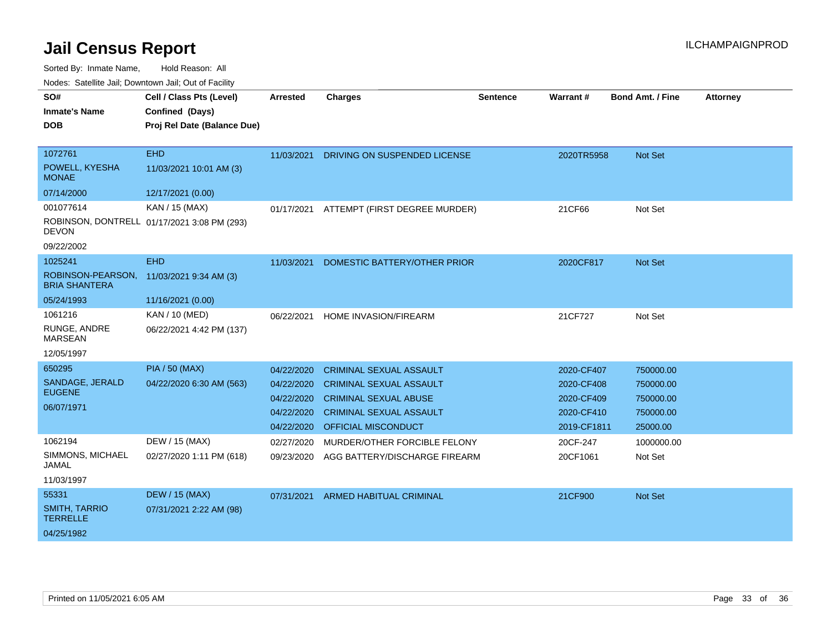Sorted By: Inmate Name, Hold Reason: All

|  |  | Nodes: Satellite Jail; Downtown Jail; Out of Facility |
|--|--|-------------------------------------------------------|
|--|--|-------------------------------------------------------|

| SO#                                       | Cell / Class Pts (Level)                       | <b>Arrested</b> | <b>Charges</b>                 | <b>Sentence</b> | Warrant #   | Bond Amt. / Fine | <b>Attorney</b> |
|-------------------------------------------|------------------------------------------------|-----------------|--------------------------------|-----------------|-------------|------------------|-----------------|
| <b>Inmate's Name</b><br><b>DOB</b>        | Confined (Days)<br>Proj Rel Date (Balance Due) |                 |                                |                 |             |                  |                 |
|                                           |                                                |                 |                                |                 |             |                  |                 |
| 1072761                                   | <b>EHD</b>                                     | 11/03/2021      | DRIVING ON SUSPENDED LICENSE   |                 | 2020TR5958  | <b>Not Set</b>   |                 |
| POWELL, KYESHA<br><b>MONAE</b>            | 11/03/2021 10:01 AM (3)                        |                 |                                |                 |             |                  |                 |
| 07/14/2000                                | 12/17/2021 (0.00)                              |                 |                                |                 |             |                  |                 |
| 001077614                                 | KAN / 15 (MAX)                                 | 01/17/2021      | ATTEMPT (FIRST DEGREE MURDER)  |                 | 21CF66      | Not Set          |                 |
| <b>DEVON</b>                              | ROBINSON, DONTRELL 01/17/2021 3:08 PM (293)    |                 |                                |                 |             |                  |                 |
| 09/22/2002                                |                                                |                 |                                |                 |             |                  |                 |
| 1025241                                   | <b>EHD</b>                                     | 11/03/2021      | DOMESTIC BATTERY/OTHER PRIOR   |                 | 2020CF817   | <b>Not Set</b>   |                 |
| ROBINSON-PEARSON,<br><b>BRIA SHANTERA</b> | 11/03/2021 9:34 AM (3)                         |                 |                                |                 |             |                  |                 |
| 05/24/1993                                | 11/16/2021 (0.00)                              |                 |                                |                 |             |                  |                 |
| 1061216                                   | KAN / 10 (MED)                                 | 06/22/2021      | HOME INVASION/FIREARM          |                 | 21CF727     | Not Set          |                 |
| RUNGE, ANDRE<br><b>MARSEAN</b>            | 06/22/2021 4:42 PM (137)                       |                 |                                |                 |             |                  |                 |
| 12/05/1997                                |                                                |                 |                                |                 |             |                  |                 |
| 650295                                    | <b>PIA / 50 (MAX)</b>                          | 04/22/2020      | <b>CRIMINAL SEXUAL ASSAULT</b> |                 | 2020-CF407  | 750000.00        |                 |
| SANDAGE, JERALD                           | 04/22/2020 6:30 AM (563)                       | 04/22/2020      | <b>CRIMINAL SEXUAL ASSAULT</b> |                 | 2020-CF408  | 750000.00        |                 |
| <b>EUGENE</b>                             |                                                | 04/22/2020      | <b>CRIMINAL SEXUAL ABUSE</b>   |                 | 2020-CF409  | 750000.00        |                 |
| 06/07/1971                                |                                                | 04/22/2020      | <b>CRIMINAL SEXUAL ASSAULT</b> |                 | 2020-CF410  | 750000.00        |                 |
|                                           |                                                | 04/22/2020      | OFFICIAL MISCONDUCT            |                 | 2019-CF1811 | 25000.00         |                 |
| 1062194                                   | DEW / 15 (MAX)                                 | 02/27/2020      | MURDER/OTHER FORCIBLE FELONY   |                 | 20CF-247    | 1000000.00       |                 |
| SIMMONS, MICHAEL<br><b>JAMAL</b>          | 02/27/2020 1:11 PM (618)                       | 09/23/2020      | AGG BATTERY/DISCHARGE FIREARM  |                 | 20CF1061    | Not Set          |                 |
| 11/03/1997                                |                                                |                 |                                |                 |             |                  |                 |
| 55331                                     | <b>DEW / 15 (MAX)</b>                          | 07/31/2021      | <b>ARMED HABITUAL CRIMINAL</b> |                 | 21CF900     | <b>Not Set</b>   |                 |
| <b>SMITH, TARRIO</b><br><b>TERRELLE</b>   | 07/31/2021 2:22 AM (98)                        |                 |                                |                 |             |                  |                 |
| 04/25/1982                                |                                                |                 |                                |                 |             |                  |                 |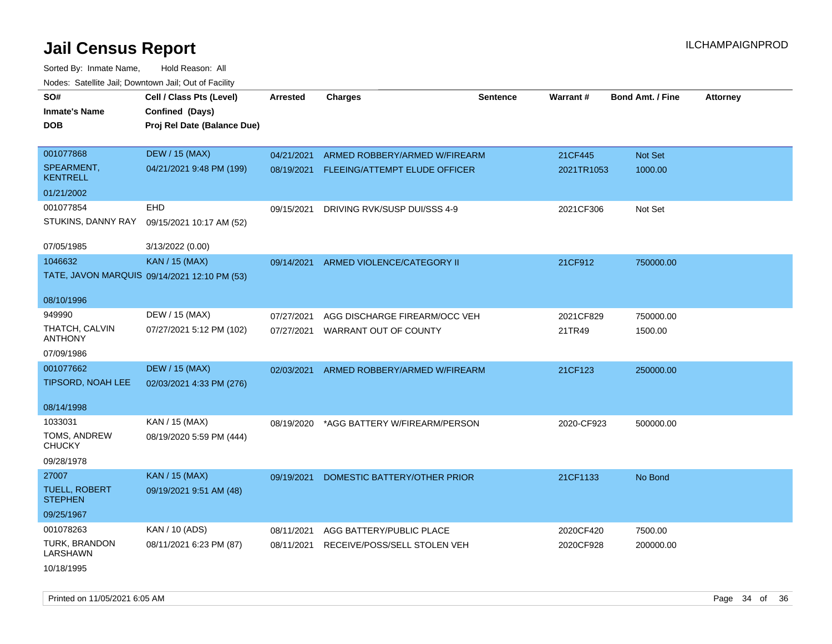Sorted By: Inmate Name, Hold Reason: All Nodes: Satellite Jail; Downtown Jail; Out of Facility

| SO#                                    | Cell / Class Pts (Level)                     | <b>Arrested</b> | <b>Charges</b>                           | <b>Sentence</b> | <b>Warrant#</b> | <b>Bond Amt. / Fine</b> | <b>Attorney</b> |
|----------------------------------------|----------------------------------------------|-----------------|------------------------------------------|-----------------|-----------------|-------------------------|-----------------|
| <b>Inmate's Name</b>                   | Confined (Days)                              |                 |                                          |                 |                 |                         |                 |
| <b>DOB</b>                             | Proj Rel Date (Balance Due)                  |                 |                                          |                 |                 |                         |                 |
|                                        |                                              |                 |                                          |                 |                 |                         |                 |
| 001077868                              | <b>DEW / 15 (MAX)</b>                        | 04/21/2021      | ARMED ROBBERY/ARMED W/FIREARM            |                 | 21CF445         | Not Set                 |                 |
| SPEARMENT,<br><b>KENTRELL</b>          | 04/21/2021 9:48 PM (199)                     |                 | 08/19/2021 FLEEING/ATTEMPT ELUDE OFFICER |                 | 2021TR1053      | 1000.00                 |                 |
| 01/21/2002                             |                                              |                 |                                          |                 |                 |                         |                 |
| 001077854                              | EHD                                          | 09/15/2021      | DRIVING RVK/SUSP DUI/SSS 4-9             |                 | 2021CF306       | Not Set                 |                 |
| STUKINS, DANNY RAY                     | 09/15/2021 10:17 AM (52)                     |                 |                                          |                 |                 |                         |                 |
| 07/05/1985                             | 3/13/2022 (0.00)                             |                 |                                          |                 |                 |                         |                 |
| 1046632                                | KAN / 15 (MAX)                               | 09/14/2021      | ARMED VIOLENCE/CATEGORY II               |                 | 21CF912         | 750000.00               |                 |
|                                        | TATE, JAVON MARQUIS 09/14/2021 12:10 PM (53) |                 |                                          |                 |                 |                         |                 |
| 08/10/1996                             |                                              |                 |                                          |                 |                 |                         |                 |
| 949990                                 | DEW / 15 (MAX)                               | 07/27/2021      | AGG DISCHARGE FIREARM/OCC VEH            |                 | 2021CF829       | 750000.00               |                 |
| THATCH, CALVIN<br><b>ANTHONY</b>       | 07/27/2021 5:12 PM (102)                     | 07/27/2021      | WARRANT OUT OF COUNTY                    |                 | 21TR49          | 1500.00                 |                 |
| 07/09/1986                             |                                              |                 |                                          |                 |                 |                         |                 |
| 001077662                              | <b>DEW / 15 (MAX)</b>                        | 02/03/2021      | ARMED ROBBERY/ARMED W/FIREARM            |                 | 21CF123         | 250000.00               |                 |
| TIPSORD, NOAH LEE                      | 02/03/2021 4:33 PM (276)                     |                 |                                          |                 |                 |                         |                 |
| 08/14/1998                             |                                              |                 |                                          |                 |                 |                         |                 |
| 1033031                                | KAN / 15 (MAX)                               | 08/19/2020      | *AGG BATTERY W/FIREARM/PERSON            |                 | 2020-CF923      | 500000.00               |                 |
| TOMS, ANDREW<br><b>CHUCKY</b>          | 08/19/2020 5:59 PM (444)                     |                 |                                          |                 |                 |                         |                 |
| 09/28/1978                             |                                              |                 |                                          |                 |                 |                         |                 |
| 27007                                  | <b>KAN / 15 (MAX)</b>                        | 09/19/2021      | DOMESTIC BATTERY/OTHER PRIOR             |                 | 21CF1133        | No Bond                 |                 |
| <b>TUELL, ROBERT</b><br><b>STEPHEN</b> | 09/19/2021 9:51 AM (48)                      |                 |                                          |                 |                 |                         |                 |
| 09/25/1967                             |                                              |                 |                                          |                 |                 |                         |                 |
| 001078263                              | KAN / 10 (ADS)                               | 08/11/2021      | AGG BATTERY/PUBLIC PLACE                 |                 | 2020CF420       | 7500.00                 |                 |
| TURK, BRANDON<br><b>LARSHAWN</b>       | 08/11/2021 6:23 PM (87)                      | 08/11/2021      | RECEIVE/POSS/SELL STOLEN VEH             |                 | 2020CF928       | 200000.00               |                 |
| 10/18/1995                             |                                              |                 |                                          |                 |                 |                         |                 |

Printed on 11/05/2021 6:05 AM **Page 34 of 36**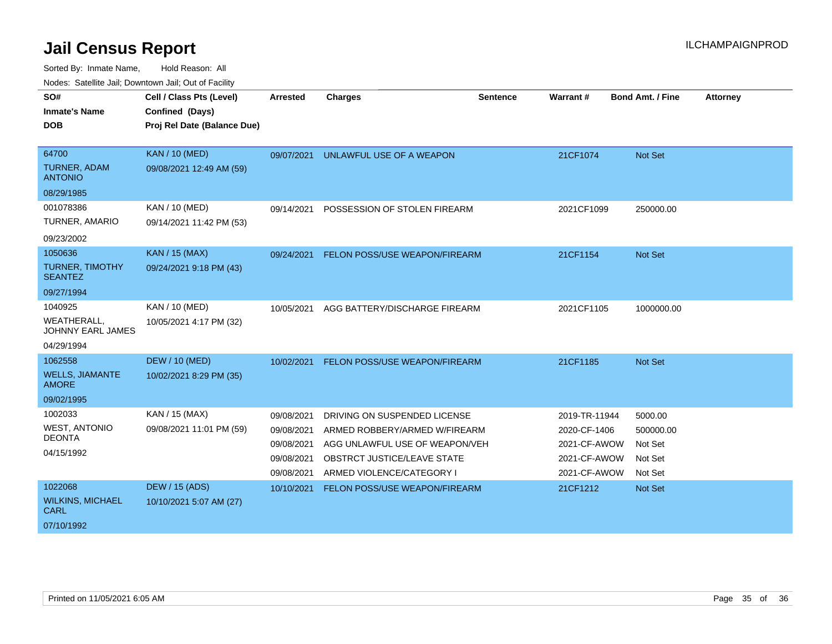| SO#<br><b>Inmate's Name</b>             | Cell / Class Pts (Level)<br>Confined (Days) | <b>Arrested</b> | <b>Charges</b>                 | <b>Sentence</b> | <b>Warrant#</b> | <b>Bond Amt. / Fine</b> | <b>Attorney</b> |
|-----------------------------------------|---------------------------------------------|-----------------|--------------------------------|-----------------|-----------------|-------------------------|-----------------|
|                                         |                                             |                 |                                |                 |                 |                         |                 |
| <b>DOB</b>                              | Proj Rel Date (Balance Due)                 |                 |                                |                 |                 |                         |                 |
|                                         |                                             |                 |                                |                 |                 |                         |                 |
| 64700                                   | <b>KAN / 10 (MED)</b>                       | 09/07/2021      | UNLAWFUL USE OF A WEAPON       |                 | 21CF1074        | Not Set                 |                 |
| TURNER, ADAM<br><b>ANTONIO</b>          | 09/08/2021 12:49 AM (59)                    |                 |                                |                 |                 |                         |                 |
| 08/29/1985                              |                                             |                 |                                |                 |                 |                         |                 |
| 001078386                               | KAN / 10 (MED)                              | 09/14/2021      | POSSESSION OF STOLEN FIREARM   |                 | 2021CF1099      | 250000.00               |                 |
| TURNER, AMARIO                          | 09/14/2021 11:42 PM (53)                    |                 |                                |                 |                 |                         |                 |
| 09/23/2002                              |                                             |                 |                                |                 |                 |                         |                 |
| 1050636                                 | KAN / 15 (MAX)                              | 09/24/2021      | FELON POSS/USE WEAPON/FIREARM  |                 | 21CF1154        | Not Set                 |                 |
| TURNER, TIMOTHY<br><b>SEANTEZ</b>       | 09/24/2021 9:18 PM (43)                     |                 |                                |                 |                 |                         |                 |
| 09/27/1994                              |                                             |                 |                                |                 |                 |                         |                 |
| 1040925                                 | KAN / 10 (MED)                              | 10/05/2021      | AGG BATTERY/DISCHARGE FIREARM  |                 | 2021CF1105      | 1000000.00              |                 |
| <b>WEATHERALL,</b><br>JOHNNY EARL JAMES | 10/05/2021 4:17 PM (32)                     |                 |                                |                 |                 |                         |                 |
| 04/29/1994                              |                                             |                 |                                |                 |                 |                         |                 |
| 1062558                                 | <b>DEW / 10 (MED)</b>                       | 10/02/2021      | FELON POSS/USE WEAPON/FIREARM  |                 | 21CF1185        | Not Set                 |                 |
| <b>WELLS, JIAMANTE</b><br><b>AMORE</b>  | 10/02/2021 8:29 PM (35)                     |                 |                                |                 |                 |                         |                 |
| 09/02/1995                              |                                             |                 |                                |                 |                 |                         |                 |
| 1002033                                 | KAN / 15 (MAX)                              | 09/08/2021      | DRIVING ON SUSPENDED LICENSE   |                 | 2019-TR-11944   | 5000.00                 |                 |
| <b>WEST, ANTONIO</b>                    | 09/08/2021 11:01 PM (59)                    | 09/08/2021      | ARMED ROBBERY/ARMED W/FIREARM  |                 | 2020-CF-1406    | 500000.00               |                 |
| <b>DEONTA</b>                           |                                             | 09/08/2021      | AGG UNLAWFUL USE OF WEAPON/VEH |                 | 2021-CF-AWOW    | Not Set                 |                 |
| 04/15/1992                              |                                             | 09/08/2021      | OBSTRCT JUSTICE/LEAVE STATE    |                 | 2021-CF-AWOW    | Not Set                 |                 |
|                                         |                                             | 09/08/2021      | ARMED VIOLENCE/CATEGORY I      |                 | 2021-CF-AWOW    | Not Set                 |                 |
| 1022068                                 | <b>DEW / 15 (ADS)</b>                       | 10/10/2021      | FELON POSS/USE WEAPON/FIREARM  |                 | 21CF1212        | Not Set                 |                 |
| <b>WILKINS, MICHAEL</b>                 | 10/10/2021 5:07 AM (27)                     |                 |                                |                 |                 |                         |                 |
| <b>CARL</b>                             |                                             |                 |                                |                 |                 |                         |                 |
| 07/10/1992                              |                                             |                 |                                |                 |                 |                         |                 |